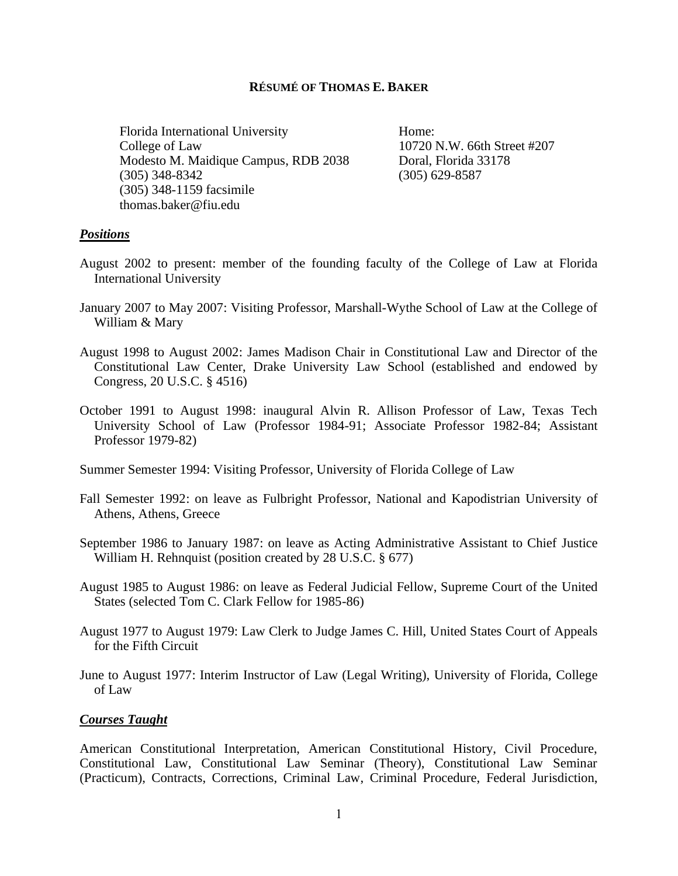### **RÉSUMÉ OF THOMAS E. BAKER**

Florida International University Home: College of Law 10720 N.W. 66th Street #207 Modesto M. Maidique Campus, RDB 2038 Doral, Florida 33178 (305) 348-8342 (305) 629-8587 (305) 348-1159 facsimile [thomas.baker@fiu.edu](mailto:thomas.baker@fiu.edu)

### *Positions*

- August 2002 to present: member of the founding faculty of the College of Law at Florida International University
- January 2007 to May 2007: Visiting Professor, Marshall-Wythe School of Law at the College of William & Mary
- August 1998 to August 2002: James Madison Chair in Constitutional Law and Director of the Constitutional Law Center, Drake University Law School (established and endowed by Congress, 20 U.S.C. § 4516)
- October 1991 to August 1998: inaugural Alvin R. Allison Professor of Law, Texas Tech University School of Law (Professor 1984-91; Associate Professor 1982-84; Assistant Professor 1979-82)
- Summer Semester 1994: Visiting Professor, University of Florida College of Law
- Fall Semester 1992: on leave as Fulbright Professor, National and Kapodistrian University of Athens, Athens, Greece
- September 1986 to January 1987: on leave as Acting Administrative Assistant to Chief Justice William H. Rehnquist (position created by 28 U.S.C. § 677)
- August 1985 to August 1986: on leave as Federal Judicial Fellow, Supreme Court of the United States (selected Tom C. Clark Fellow for 1985-86)
- August 1977 to August 1979: Law Clerk to Judge James C. Hill, United States Court of Appeals for the Fifth Circuit
- June to August 1977: Interim Instructor of Law (Legal Writing), University of Florida, College of Law

### *Courses Taught*

American Constitutional Interpretation, American Constitutional History, Civil Procedure, Constitutional Law, Constitutional Law Seminar (Theory), Constitutional Law Seminar (Practicum), Contracts, Corrections, Criminal Law, Criminal Procedure, Federal Jurisdiction,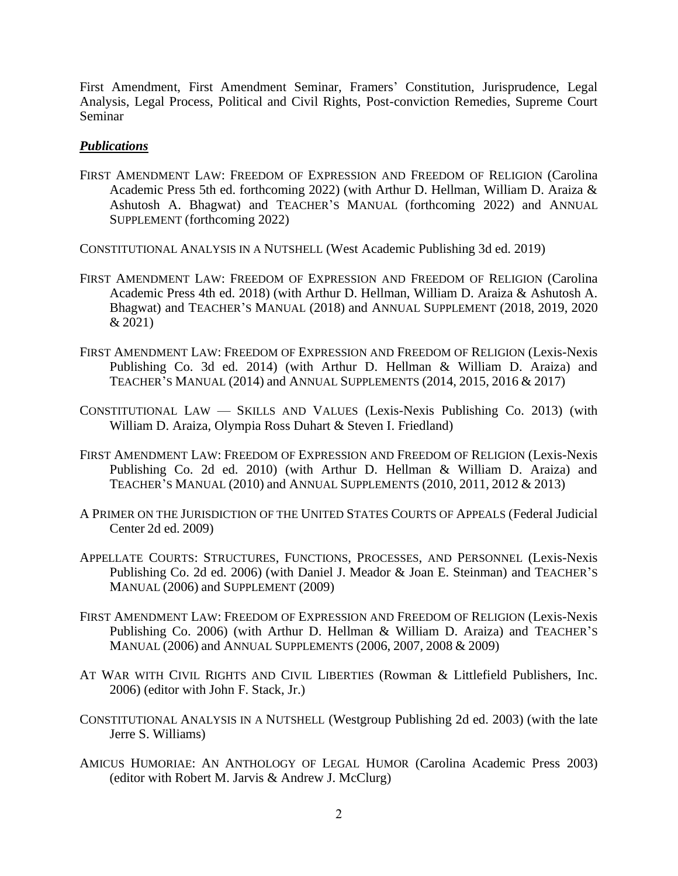First Amendment, First Amendment Seminar, Framers' Constitution, Jurisprudence, Legal Analysis, Legal Process, Political and Civil Rights, Post-conviction Remedies, Supreme Court Seminar

### *Publications*

FIRST AMENDMENT LAW: FREEDOM OF EXPRESSION AND FREEDOM OF RELIGION (Carolina Academic Press 5th ed. forthcoming 2022) (with Arthur D. Hellman, William D. Araiza & Ashutosh A. Bhagwat) and TEACHER'S MANUAL (forthcoming 2022) and ANNUAL SUPPLEMENT (forthcoming 2022)

CONSTITUTIONAL ANALYSIS IN A NUTSHELL (West Academic Publishing 3d ed. 2019)

- FIRST AMENDMENT LAW: FREEDOM OF EXPRESSION AND FREEDOM OF RELIGION (Carolina Academic Press 4th ed. 2018) (with Arthur D. Hellman, William D. Araiza & Ashutosh A. Bhagwat) and TEACHER'S MANUAL (2018) and ANNUAL SUPPLEMENT (2018, 2019, 2020 & 2021)
- FIRST AMENDMENT LAW: FREEDOM OF EXPRESSION AND FREEDOM OF RELIGION (Lexis-Nexis Publishing Co. 3d ed. 2014) (with Arthur D. Hellman & William D. Araiza) and TEACHER'S MANUAL (2014) and ANNUAL SUPPLEMENTS (2014, 2015, 2016 & 2017)
- CONSTITUTIONAL LAW SKILLS AND VALUES (Lexis-Nexis Publishing Co. 2013) (with William D. Araiza, Olympia Ross Duhart & Steven I. Friedland)
- FIRST AMENDMENT LAW: FREEDOM OF EXPRESSION AND FREEDOM OF RELIGION (Lexis-Nexis Publishing Co. 2d ed. 2010) (with Arthur D. Hellman & William D. Araiza) and TEACHER'S MANUAL (2010) and ANNUAL SUPPLEMENTS (2010, 2011, 2012 & 2013)
- A PRIMER ON THE JURISDICTION OF THE UNITED STATES COURTS OF APPEALS (Federal Judicial Center 2d ed. 2009)
- APPELLATE COURTS: STRUCTURES, FUNCTIONS, PROCESSES, AND PERSONNEL (Lexis-Nexis Publishing Co. 2d ed. 2006) (with Daniel J. Meador & Joan E. Steinman) and TEACHER'S MANUAL (2006) and SUPPLEMENT (2009)
- FIRST AMENDMENT LAW: FREEDOM OF EXPRESSION AND FREEDOM OF RELIGION (Lexis-Nexis Publishing Co. 2006) (with Arthur D. Hellman & William D. Araiza) and TEACHER'S MANUAL (2006) and ANNUAL SUPPLEMENTS (2006, 2007, 2008 & 2009)
- AT WAR WITH CIVIL RIGHTS AND CIVIL LIBERTIES (Rowman & Littlefield Publishers, Inc. 2006) (editor with John F. Stack, Jr.)
- CONSTITUTIONAL ANALYSIS IN A NUTSHELL (Westgroup Publishing 2d ed. 2003) (with the late Jerre S. Williams)
- AMICUS HUMORIAE: AN ANTHOLOGY OF LEGAL HUMOR (Carolina Academic Press 2003) (editor with Robert M. Jarvis & Andrew J. McClurg)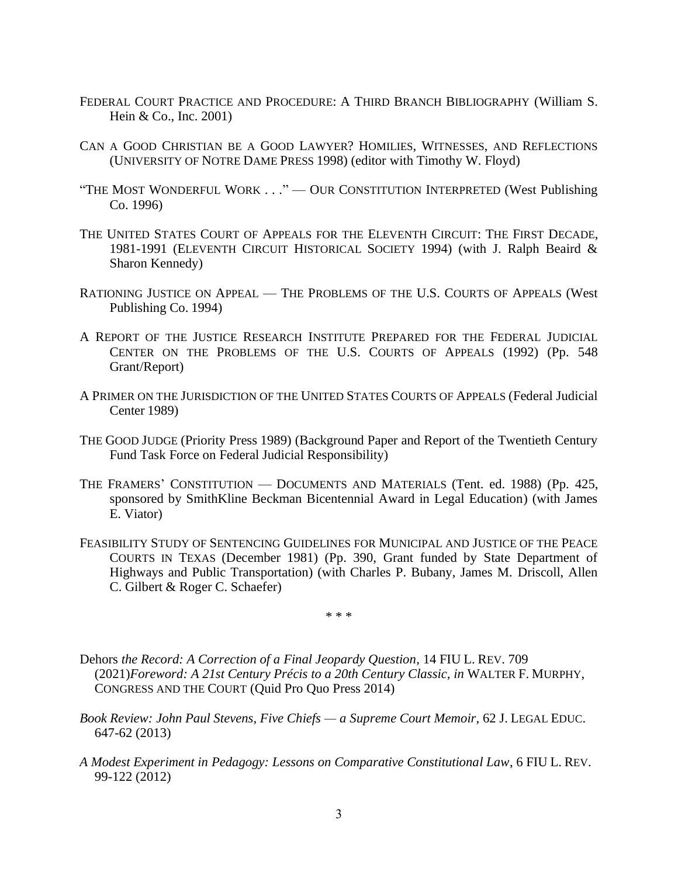- FEDERAL COURT PRACTICE AND PROCEDURE: A THIRD BRANCH BIBLIOGRAPHY (William S. Hein & Co., Inc. 2001)
- CAN A GOOD CHRISTIAN BE A GOOD LAWYER? HOMILIES, WITNESSES, AND REFLECTIONS (UNIVERSITY OF NOTRE DAME PRESS 1998) (editor with Timothy W. Floyd)
- "THE MOST WONDERFUL WORK . . ." OUR CONSTITUTION INTERPRETED (West Publishing Co. 1996)
- THE UNITED STATES COURT OF APPEALS FOR THE ELEVENTH CIRCUIT: THE FIRST DECADE, 1981-1991 (ELEVENTH CIRCUIT HISTORICAL SOCIETY 1994) (with J. Ralph Beaird & Sharon Kennedy)
- RATIONING JUSTICE ON APPEAL THE PROBLEMS OF THE U.S. COURTS OF APPEALS (West Publishing Co. 1994)
- A REPORT OF THE JUSTICE RESEARCH INSTITUTE PREPARED FOR THE FEDERAL JUDICIAL CENTER ON THE PROBLEMS OF THE U.S. COURTS OF APPEALS (1992) (Pp. 548 Grant/Report)
- A PRIMER ON THE JURISDICTION OF THE UNITED STATES COURTS OF APPEALS (Federal Judicial Center 1989)
- THE GOOD JUDGE (Priority Press 1989) (Background Paper and Report of the Twentieth Century Fund Task Force on Federal Judicial Responsibility)
- THE FRAMERS' CONSTITUTION DOCUMENTS AND MATERIALS (Tent. ed. 1988) (Pp. 425, sponsored by SmithKline Beckman Bicentennial Award in Legal Education) (with James E. Viator)
- FEASIBILITY STUDY OF SENTENCING GUIDELINES FOR MUNICIPAL AND JUSTICE OF THE PEACE COURTS IN TEXAS (December 1981) (Pp. 390, Grant funded by State Department of Highways and Public Transportation) (with Charles P. Bubany, James M. Driscoll, Allen C. Gilbert & Roger C. Schaefer)

\* \* \*

- Dehors *the Record: A Correction of a Final Jeopardy Question*, 14 FIU L. REV. 709 (2021)*Foreword: A 21st Century Précis to a 20th Century Classic, in* WALTER F. MURPHY, CONGRESS AND THE COURT (Quid Pro Quo Press 2014)
- *Book Review: John Paul Stevens, Five Chiefs — a Supreme Court Memoir*, 62 J. LEGAL EDUC. 647-62 (2013)
- *A Modest Experiment in Pedagogy: Lessons on Comparative Constitutional Law*, 6 FIU L. REV. 99-122 (2012)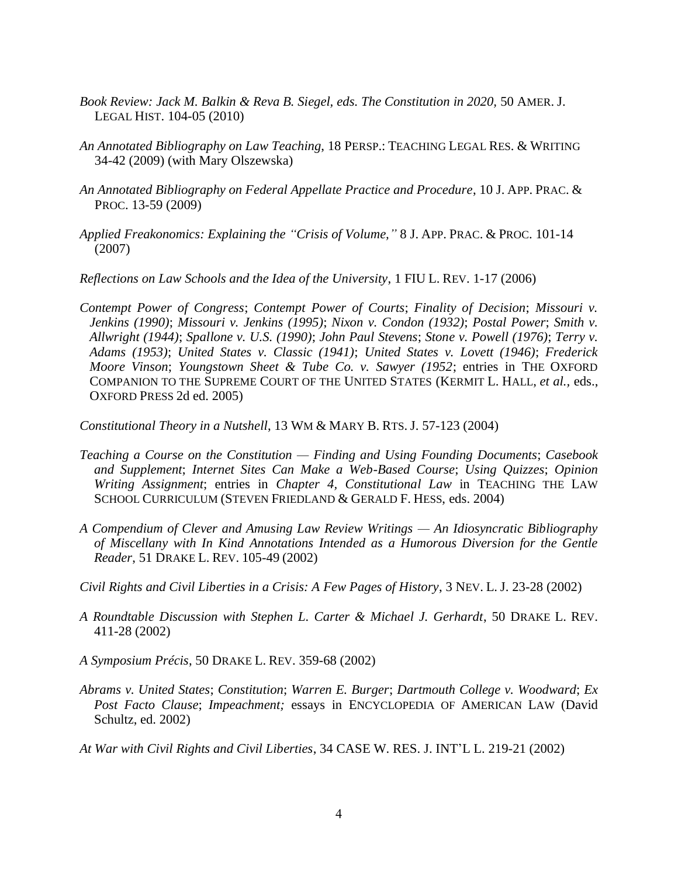- Book Review: Jack M. Balkin & Reva B. Siegel, eds. The Constitution in 2020, 50 AMER. J. LEGAL HIST. 104-05 (2010)
- *An Annotated Bibliography on Law Teaching*, 18 PERSP.: TEACHING LEGAL RES. & WRITING 34-42 (2009) (with Mary Olszewska)
- *An Annotated Bibliography on Federal Appellate Practice and Procedure*, 10 J. APP. PRAC. & PROC. 13-59 (2009)
- *Applied Freakonomics: Explaining the "Crisis of Volume,"* 8 J. APP. PRAC. & PROC. 101-14 (2007)
- *Reflections on Law Schools and the Idea of the University*, 1 FIU L. REV. 1-17 (2006)
- *Contempt Power of Congress*; *Contempt Power of Courts*; *Finality of Decision*; *Missouri v. Jenkins (1990)*; *Missouri v. Jenkins (1995)*; *Nixon v. Condon (1932)*; *Postal Power*; *Smith v. Allwright (1944)*; *Spallone v. U.S. (1990)*; *John Paul Stevens*; *Stone v. Powell (1976)*; *Terry v. Adams (1953)*; *United States v. Classic (1941)*; *United States v. Lovett (1946)*; *Frederick Moore Vinson*; *Youngstown Sheet & Tube Co. v. Sawyer (1952*; entries in THE OXFORD COMPANION TO THE SUPREME COURT OF THE UNITED STATES (KERMIT L. HALL, *et al.,* eds., OXFORD PRESS 2d ed. 2005)
- *Constitutional Theory in a Nutshell*, 13 WM & MARY B. RTS. J. 57-123 (2004)
- *Teaching a Course on the Constitution — Finding and Using Founding Documents*; *Casebook and Supplement*; *Internet Sites Can Make a Web-Based Course*; *Using Quizzes*; *Opinion Writing Assignment*; entries in *Chapter 4, Constitutional Law* in TEACHING THE LAW SCHOOL CURRICULUM (STEVEN FRIEDLAND & GERALD F. HESS, eds. 2004)
- *A Compendium of Clever and Amusing Law Review Writings — An Idiosyncratic Bibliography of Miscellany with In Kind Annotations Intended as a Humorous Diversion for the Gentle Reader*, 51 DRAKE L. REV. 105-49 (2002)
- *Civil Rights and Civil Liberties in a Crisis: A Few Pages of History*, 3 NEV. L. J. 23-28 (2002)
- *A Roundtable Discussion with Stephen L. Carter & Michael J. Gerhardt*, 50 DRAKE L. REV. 411-28 (2002)
- *A Symposium Précis*, 50 DRAKE L. REV. 359-68 (2002)
- *Abrams v. United States*; *Constitution*; *Warren E. Burger*; *Dartmouth College v. Woodward*; *Ex Post Facto Clause*; *Impeachment;* essays in ENCYCLOPEDIA OF AMERICAN LAW (David Schultz, ed. 2002)
- *At War with Civil Rights and Civil Liberties*, 34 CASE W. RES. J. INT'L L. 219-21 (2002)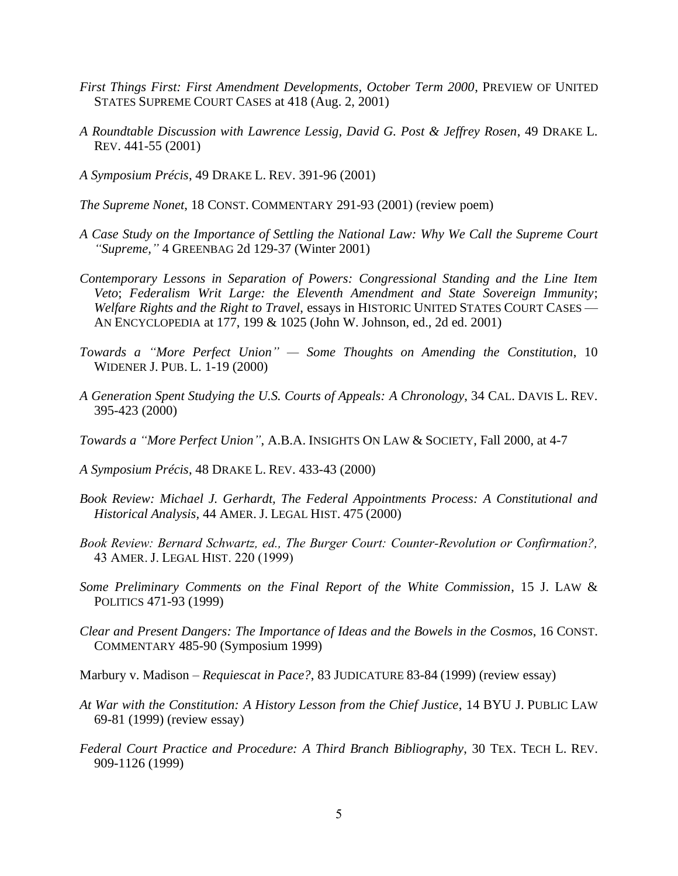- *First Things First: First Amendment Developments, October Term 2000*, PREVIEW OF UNITED STATES SUPREME COURT CASES at 418 (Aug. 2, 2001)
- *A Roundtable Discussion with Lawrence Lessig, David G. Post & Jeffrey Rosen*, 49 DRAKE L. REV. 441-55 (2001)
- *A Symposium Précis*, 49 DRAKE L. REV. 391-96 (2001)
- *The Supreme Nonet*, 18 CONST. COMMENTARY 291-93 (2001) (review poem)
- *A Case Study on the Importance of Settling the National Law: Why We Call the Supreme Court "Supreme,"* 4 GREENBAG 2d 129-37 (Winter 2001)
- *Contemporary Lessons in Separation of Powers: Congressional Standing and the Line Item Veto*; *Federalism Writ Large: the Eleventh Amendment and State Sovereign Immunity*; *Welfare Rights and the Right to Travel*, essays in HISTORIC UNITED STATES COURT CASES — AN ENCYCLOPEDIA at 177, 199 & 1025 (John W. Johnson, ed., 2d ed. 2001)
- *Towards a "More Perfect Union" — Some Thoughts on Amending the Constitution*, 10 WIDENER J. PUB. L. 1-19 (2000)
- *A Generation Spent Studying the U.S. Courts of Appeals: A Chronology*, 34 CAL. DAVIS L. REV. 395-423 (2000)
- *Towards a "More Perfect Union"*, A.B.A. INSIGHTS ON LAW & SOCIETY, Fall 2000, at 4-7
- *A Symposium Précis*, 48 DRAKE L. REV. 433-43 (2000)
- *Book Review: Michael J. Gerhardt, The Federal Appointments Process: A Constitutional and Historical Analysis,* 44 AMER. J. LEGAL HIST. 475 (2000)
- *Book Review: Bernard Schwartz, ed., The Burger Court: Counter-Revolution or Confirmation?,*  43 AMER. J. LEGAL HIST. 220 (1999)
- *Some Preliminary Comments on the Final Report of the White Commission*, 15 J. LAW & POLITICS 471-93 (1999)
- *Clear and Present Dangers: The Importance of Ideas and the Bowels in the Cosmos*, 16 CONST. COMMENTARY 485-90 (Symposium 1999)

Marbury v. Madison *– Requiescat in Pace?*, 83 JUDICATURE 83-84 (1999) (review essay)

- *At War with the Constitution: A History Lesson from the Chief Justice*, 14 BYU J. PUBLIC LAW 69-81 (1999) (review essay)
- *Federal Court Practice and Procedure: A Third Branch Bibliography*, 30 TEX. TECH L. REV. 909-1126 (1999)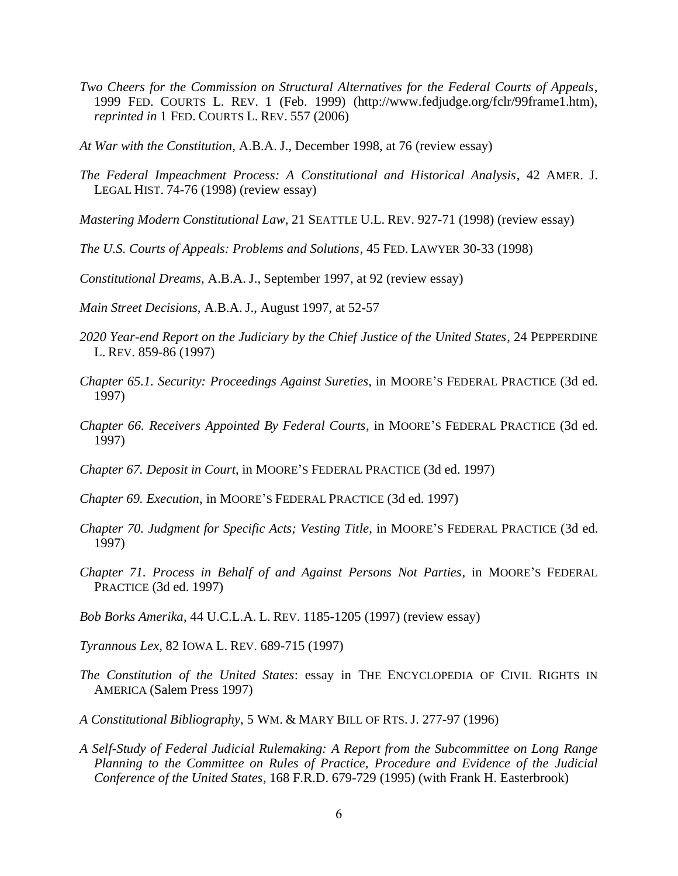- *Two Cheers for the Commission on Structural Alternatives for the Federal Courts of Appeals*, 1999 FED. COURTS L. REV. 1 (Feb. 1999) (http://www.fedjudge.org/fclr/99frame1.htm), *reprinted in* 1 FED. COURTS L. REV. 557 (2006)
- *At War with the Constitution*, A.B.A. J., December 1998, at 76 (review essay)
- *The Federal Impeachment Process: A Constitutional and Historical Analysis*, 42 AMER. J. LEGAL HIST. 74-76 (1998) (review essay)
- *Mastering Modern Constitutional Law*, 21 SEATTLE U.L. REV. 927-71 (1998) (review essay)
- *The U.S. Courts of Appeals: Problems and Solutions*, 45 FED. LAWYER 30-33 (1998)
- *Constitutional Dreams,* A.B.A. J., September 1997, at 92 (review essay)
- *Main Street Decisions,* A.B.A. J., August 1997, at 52-57
- *2020 Year-end Report on the Judiciary by the Chief Justice of the United States*, 24 PEPPERDINE L. REV. 859-86 (1997)
- *Chapter 65.1. Security: Proceedings Against Sureties*, in MOORE'S FEDERAL PRACTICE (3d ed. 1997)
- *Chapter 66. Receivers Appointed By Federal Courts*, in MOORE'S FEDERAL PRACTICE (3d ed. 1997)
- *Chapter 67. Deposit in Court*, in MOORE'S FEDERAL PRACTICE (3d ed. 1997)
- *Chapter 69. Execution*, in MOORE'S FEDERAL PRACTICE (3d ed. 1997)
- *Chapter 70. Judgment for Specific Acts; Vesting Title*, in MOORE'S FEDERAL PRACTICE (3d ed. 1997)
- *Chapter 71. Process in Behalf of and Against Persons Not Parties*, in MOORE'S FEDERAL PRACTICE (3d ed. 1997)
- *Bob Borks Amerika*, 44 U.C.L.A. L. REV. 1185-1205 (1997) (review essay)
- *Tyrannous Lex*, 82 IOWA L. REV. 689-715 (1997)
- *The Constitution of the United States*: essay in THE ENCYCLOPEDIA OF CIVIL RIGHTS IN AMERICA (Salem Press 1997)
- *A Constitutional Bibliography*, 5 WM. & MARY BILL OF RTS. J. 277-97 (1996)
- *A Self-Study of Federal Judicial Rulemaking: A Report from the Subcommittee on Long Range Planning to the Committee on Rules of Practice, Procedure and Evidence of the Judicial Conference of the United States*, 168 F.R.D. 679-729 (1995) (with Frank H. Easterbrook)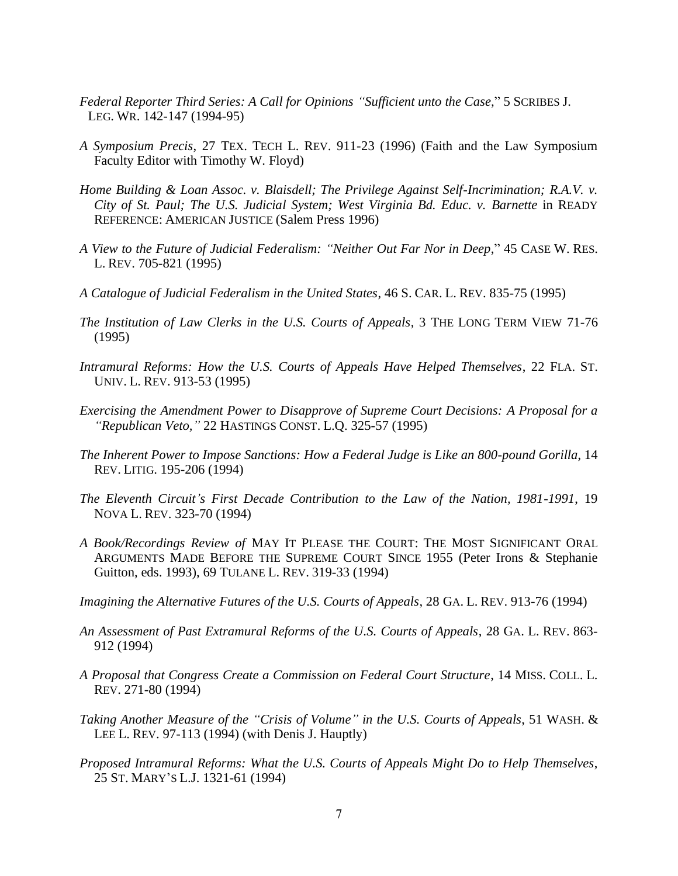- *Federal Reporter Third Series: A Call for Opinions "Sufficient unto the Case,*" 5 SCRIBES J. LEG. WR. 142-147 (1994-95)
- *A Symposium Precis*, 27 TEX. TECH L. REV. 911-23 (1996) (Faith and the Law Symposium Faculty Editor with Timothy W. Floyd)
- *Home Building & Loan Assoc. v. Blaisdell; The Privilege Against Self-Incrimination; R.A.V. v. City of St. Paul; The U.S. Judicial System; West Virginia Bd. Educ. v. Barnette* in READY REFERENCE: AMERICAN JUSTICE (Salem Press 1996)
- *A View to the Future of Judicial Federalism: "Neither Out Far Nor in Deep*," 45 CASE W. RES. L. REV. 705-821 (1995)
- *A Catalogue of Judicial Federalism in the United States*, 46 S. CAR. L. REV. 835-75 (1995)
- *The Institution of Law Clerks in the U.S. Courts of Appeals*, 3 THE LONG TERM VIEW 71-76 (1995)
- *Intramural Reforms: How the U.S. Courts of Appeals Have Helped Themselves*, 22 FLA. ST. UNIV. L. REV. 913-53 (1995)
- *Exercising the Amendment Power to Disapprove of Supreme Court Decisions: A Proposal for a "Republican Veto,"* 22 HASTINGS CONST. L.Q. 325-57 (1995)
- *The Inherent Power to Impose Sanctions: How a Federal Judge is Like an 800-pound Gorilla*, 14 REV. LITIG. 195-206 (1994)
- *The Eleventh Circuit's First Decade Contribution to the Law of the Nation, 1981-1991*, 19 NOVA L. REV. 323-70 (1994)
- *A Book/Recordings Review of* MAY IT PLEASE THE COURT: THE MOST SIGNIFICANT ORAL ARGUMENTS MADE BEFORE THE SUPREME COURT SINCE 1955 (Peter Irons & Stephanie Guitton, eds. 1993), 69 TULANE L. REV. 319-33 (1994)
- *Imagining the Alternative Futures of the U.S. Courts of Appeals*, 28 GA. L. REV. 913-76 (1994)
- *An Assessment of Past Extramural Reforms of the U.S. Courts of Appeals*, 28 GA. L. REV. 863- 912 (1994)
- *A Proposal that Congress Create a Commission on Federal Court Structure*, 14 MISS. COLL. L. REV. 271-80 (1994)
- *Taking Another Measure of the "Crisis of Volume" in the U.S. Courts of Appeals*, 51 WASH. & LEE L. REV. 97-113 (1994) (with Denis J. Hauptly)
- *Proposed Intramural Reforms: What the U.S. Courts of Appeals Might Do to Help Themselves*, 25 ST. MARY'S L.J. 1321-61 (1994)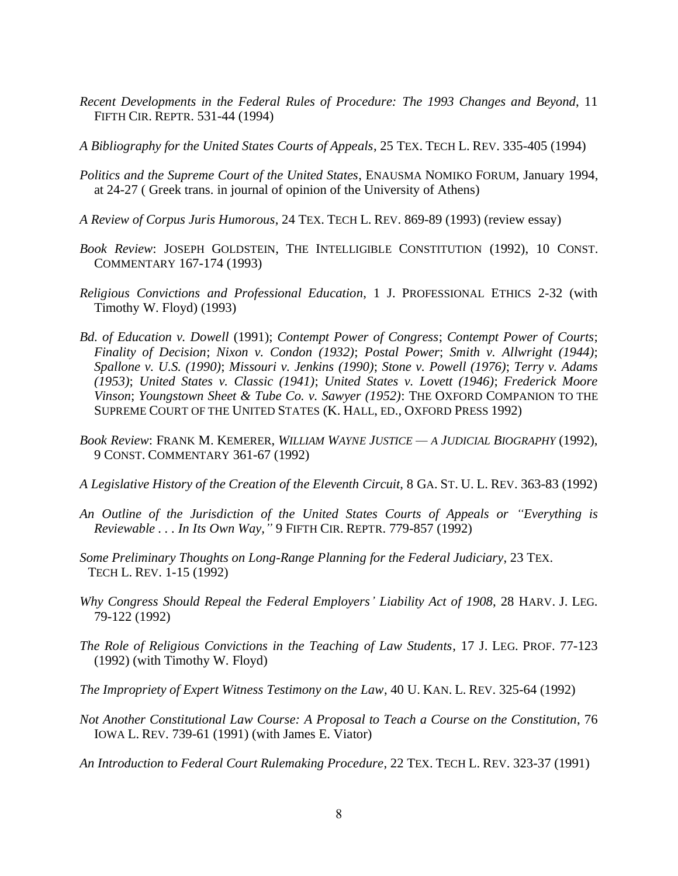*Recent Developments in the Federal Rules of Procedure: The 1993 Changes and Beyond*, 11 FIFTH CIR. REPTR. 531-44 (1994)

*A Bibliography for the United States Courts of Appeals*, 25 TEX. TECH L. REV. 335-405 (1994)

- *Politics and the Supreme Court of the United States*, ENAUSMA NOMIKO FORUM, January 1994, at 24-27 ( Greek trans. in journal of opinion of the University of Athens)
- *A Review of Corpus Juris Humorous*, 24 TEX. TECH L. REV. 869-89 (1993) (review essay)
- *Book Review*: JOSEPH GOLDSTEIN, THE INTELLIGIBLE CONSTITUTION (1992), 10 CONST. COMMENTARY 167-174 (1993)
- *Religious Convictions and Professional Education*, 1 J. PROFESSIONAL ETHICS 2-32 (with Timothy W. Floyd) (1993)
- *Bd. of Education v. Dowell* (1991); *Contempt Power of Congress*; *Contempt Power of Courts*; *Finality of Decision*; *Nixon v. Condon (1932)*; *Postal Power*; *Smith v. Allwright (1944)*; *Spallone v. U.S. (1990)*; *Missouri v. Jenkins (1990)*; *Stone v. Powell (1976)*; *Terry v. Adams (1953)*; *United States v. Classic (1941)*; *United States v. Lovett (1946)*; *Frederick Moore Vinson*; *Youngstown Sheet & Tube Co. v. Sawyer (1952)*: THE OXFORD COMPANION TO THE SUPREME COURT OF THE UNITED STATES (K. HALL, ED., OXFORD PRESS 1992)
- *Book Review*: FRANK M. KEMERER, *WILLIAM WAYNE JUSTICE — A JUDICIAL BIOGRAPHY* (1992), 9 CONST. COMMENTARY 361-67 (1992)
- *A Legislative History of the Creation of the Eleventh Circuit*, 8 GA. ST. U. L. REV. 363-83 (1992)
- *An Outline of the Jurisdiction of the United States Courts of Appeals or "Everything is Reviewable . . . In Its Own Way,"* 9 FIFTH CIR. REPTR. 779-857 (1992)
- *Some Preliminary Thoughts on Long-Range Planning for the Federal Judiciary*, 23 TEX. TECH L. REV. 1-15 (1992)
- *Why Congress Should Repeal the Federal Employers' Liability Act of 1908*, 28 HARV. J. LEG. 79-122 (1992)
- *The Role of Religious Convictions in the Teaching of Law Students*, 17 J. LEG. PROF. 77-123 (1992) (with Timothy W. Floyd)
- *The Impropriety of Expert Witness Testimony on the Law*, 40 U. KAN. L. REV. 325-64 (1992)
- *Not Another Constitutional Law Course: A Proposal to Teach a Course on the Constitution*, 76 IOWA L. REV. 739-61 (1991) (with James E. Viator)

*An Introduction to Federal Court Rulemaking Procedure*, 22 TEX. TECH L. REV. 323-37 (1991)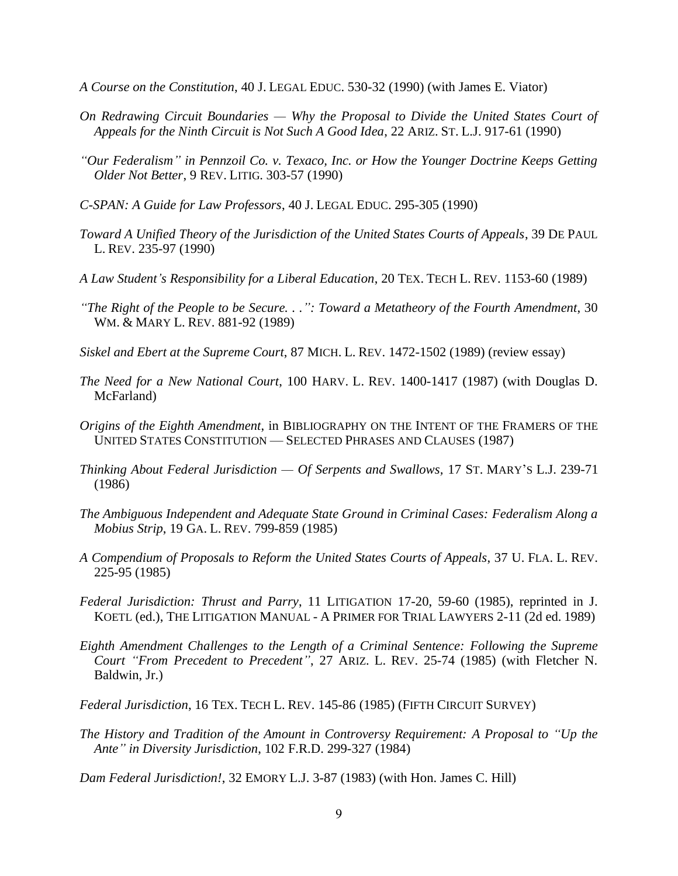- *A Course on the Constitution*, 40 J. LEGAL EDUC. 530-32 (1990) (with James E. Viator)
- *On Redrawing Circuit Boundaries — Why the Proposal to Divide the United States Court of Appeals for the Ninth Circuit is Not Such A Good Idea*, 22 ARIZ. ST. L.J. 917-61 (1990)
- *"Our Federalism" in Pennzoil Co. v. Texaco, Inc. or How the Younger Doctrine Keeps Getting Older Not Better*, 9 REV. LITIG. 303-57 (1990)
- *C-SPAN: A Guide for Law Professors*, 40 J. LEGAL EDUC. 295-305 (1990)
- *Toward A Unified Theory of the Jurisdiction of the United States Courts of Appeals*, 39 DE PAUL L. REV. 235-97 (1990)
- *A Law Student's Responsibility for a Liberal Education*, 20 TEX. TECH L. REV. 1153-60 (1989)
- *"The Right of the People to be Secure. . .": Toward a Metatheory of the Fourth Amendment*, 30 WM. & MARY L. REV. 881-92 (1989)
- *Siskel and Ebert at the Supreme Court*, 87 MICH. L. REV. 1472-1502 (1989) (review essay)
- *The Need for a New National Court*, 100 HARV. L. REV. 1400-1417 (1987) (with Douglas D. McFarland)
- *Origins of the Eighth Amendment*, in BIBLIOGRAPHY ON THE INTENT OF THE FRAMERS OF THE UNITED STATES CONSTITUTION — SELECTED PHRASES AND CLAUSES (1987)
- *Thinking About Federal Jurisdiction — Of Serpents and Swallows,* 17 ST. MARY'S L.J. 239-71 (1986)
- *The Ambiguous Independent and Adequate State Ground in Criminal Cases: Federalism Along a Mobius Strip*, 19 GA. L. REV. 799-859 (1985)
- *A Compendium of Proposals to Reform the United States Courts of Appeals*, 37 U. FLA. L. REV. 225-95 (1985)
- *Federal Jurisdiction: Thrust and Parry*, 11 LITIGATION 17-20, 59-60 (1985), reprinted in J. KOETL (ed.), THE LITIGATION MANUAL - A PRIMER FOR TRIAL LAWYERS 2-11 (2d ed. 1989)
- *Eighth Amendment Challenges to the Length of a Criminal Sentence: Following the Supreme Court "From Precedent to Precedent"*, 27 ARIZ. L. REV. 25-74 (1985) (with Fletcher N. Baldwin, Jr.)
- *Federal Jurisdiction*, 16 TEX. TECH L. REV. 145-86 (1985) (FIFTH CIRCUIT SURVEY)
- *The History and Tradition of the Amount in Controversy Requirement: A Proposal to "Up the Ante" in Diversity Jurisdiction*, 102 F.R.D. 299-327 (1984)
- *Dam Federal Jurisdiction!*, 32 EMORY L.J. 3-87 (1983) (with Hon. James C. Hill)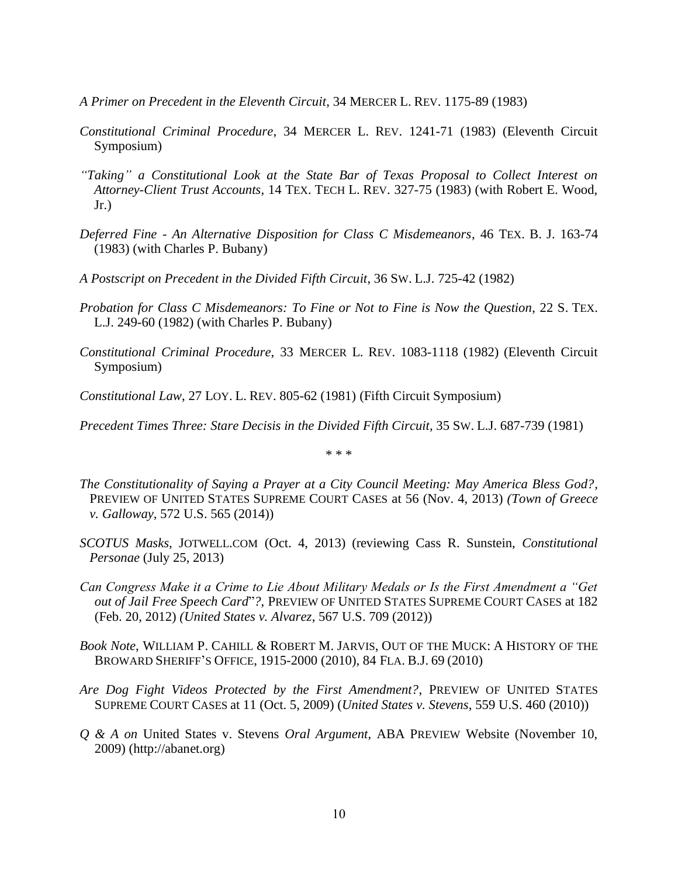- *A Primer on Precedent in the Eleventh Circuit*, 34 MERCER L. REV. 1175-89 (1983)
- *Constitutional Criminal Procedure*, 34 MERCER L. REV. 1241-71 (1983) (Eleventh Circuit Symposium)
- *"Taking" a Constitutional Look at the State Bar of Texas Proposal to Collect Interest on Attorney-Client Trust Accounts*, 14 TEX. TECH L. REV. 327-75 (1983) (with Robert E. Wood,  $Jr.$ )
- *Deferred Fine - An Alternative Disposition for Class C Misdemeanors*, 46 TEX. B. J. 163-74 (1983) (with Charles P. Bubany)
- *A Postscript on Precedent in the Divided Fifth Circuit*, 36 SW. L.J. 725-42 (1982)
- *Probation for Class C Misdemeanors: To Fine or Not to Fine is Now the Question*, 22 S. TEX. L.J. 249-60 (1982) (with Charles P. Bubany)
- *Constitutional Criminal Procedure*, 33 MERCER L. REV. 1083-1118 (1982) (Eleventh Circuit Symposium)
- *Constitutional Law*, 27 LOY. L. REV. 805-62 (1981) (Fifth Circuit Symposium)

*Precedent Times Three: Stare Decisis in the Divided Fifth Circuit*, 35 SW. L.J. 687-739 (1981)

\* \* \*

- *The Constitutionality of Saying a Prayer at a City Council Meeting: May America Bless God?,*  PREVIEW OF UNITED STATES SUPREME COURT CASES at 56 (Nov. 4, 2013) *(Town of Greece v. Galloway*, 572 U.S. 565 (2014))
- *SCOTUS Masks,* JOTWELL.COM (Oct. 4, 2013) (reviewing Cass R. Sunstein, *Constitutional Personae* (July 25, 2013)
- *Can Congress Make it a Crime to Lie About Military Medals or Is the First Amendment a "Get out of Jail Free Speech Card*"*?*, PREVIEW OF UNITED STATES SUPREME COURT CASES at 182 (Feb. 20, 2012) *(United States v. Alvarez*, 567 U.S. 709 (2012))
- *Book Note*, WILLIAM P. CAHILL & ROBERT M. JARVIS, OUT OF THE MUCK: A HISTORY OF THE BROWARD SHERIFF'S OFFICE, 1915-2000 (2010), 84 FLA. B.J. 69 (2010)
- *Are Dog Fight Videos Protected by the First Amendment?*, PREVIEW OF UNITED STATES SUPREME COURT CASES at 11 (Oct. 5, 2009) (*United States v. Stevens*, 559 U.S. 460 (2010))
- *Q & A on* United States v. Stevens *Oral Argument*, ABA PREVIEW Website (November 10, 2009) (http://abanet.org)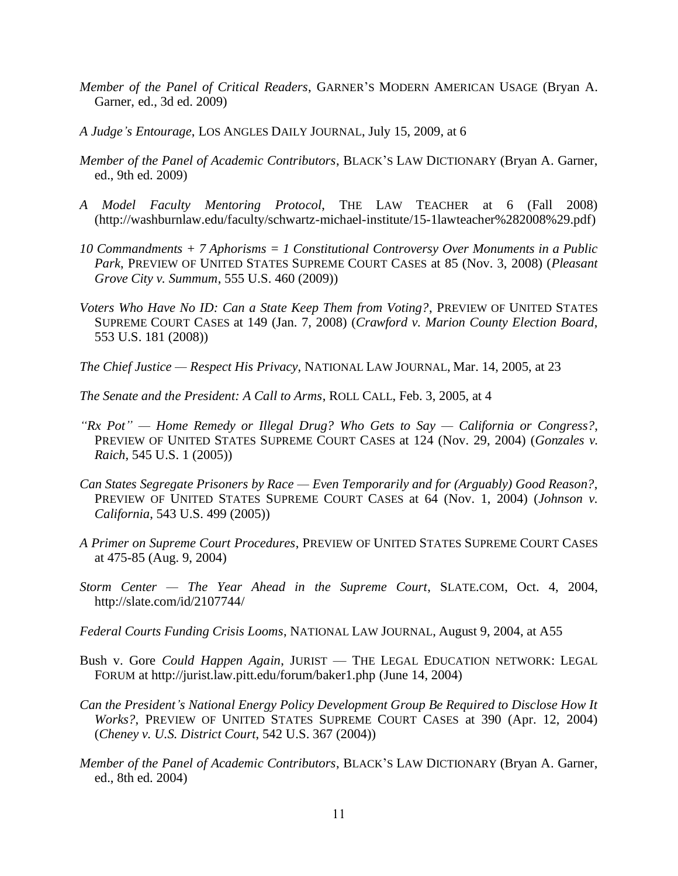- *Member of the Panel of Critical Readers*, GARNER'S MODERN AMERICAN USAGE (Bryan A. Garner, ed., 3d ed. 2009)
- *A Judge's Entourage*, LOS ANGLES DAILY JOURNAL, July 15, 2009, at 6
- *Member of the Panel of Academic Contributors*, BLACK'S LAW DICTIONARY (Bryan A. Garner, ed., 9th ed. 2009)
- *A Model Faculty Mentoring Protocol*, THE LAW TEACHER at 6 (Fall 2008) (http://washburnlaw.edu/faculty/schwartz-michael-institute/15-1lawteacher%282008%29.pdf)
- *10 Commandments + 7 Aphorisms = 1 Constitutional Controversy Over Monuments in a Public Park*, PREVIEW OF UNITED STATES SUPREME COURT CASES at 85 (Nov. 3, 2008) (*Pleasant Grove City v. Summum*, 555 U.S. 460 (2009))
- *Voters Who Have No ID: Can a State Keep Them from Voting?*, PREVIEW OF UNITED STATES SUPREME COURT CASES at 149 (Jan. 7, 2008) (*Crawford v. Marion County Election Board*, 553 U.S. 181 (2008))
- *The Chief Justice — Respect His Privacy*, NATIONAL LAW JOURNAL, Mar. 14, 2005, at 23
- *The Senate and the President: A Call to Arms*, ROLL CALL, Feb. 3, 2005, at 4
- *"Rx Pot" — Home Remedy or Illegal Drug? Who Gets to Say — California or Congress?*, PREVIEW OF UNITED STATES SUPREME COURT CASES at 124 (Nov. 29, 2004) (*Gonzales v. Raich*, 545 U.S. 1 (2005))
- *Can States Segregate Prisoners by Race — Even Temporarily and for (Arguably) Good Reason?*, PREVIEW OF UNITED STATES SUPREME COURT CASES at 64 (Nov. 1, 2004) (*Johnson v. California*, 543 U.S. 499 (2005))
- *A Primer on Supreme Court Procedures*, PREVIEW OF UNITED STATES SUPREME COURT CASES at 475-85 (Aug. 9, 2004)
- *Storm Center — The Year Ahead in the Supreme Court*, SLATE.COM, Oct. 4, 2004, http://slate.com/id/2107744/
- *Federal Courts Funding Crisis Looms*, NATIONAL LAW JOURNAL, August 9, 2004, at A55
- Bush v. Gore *Could Happen Again*, JURIST THE LEGAL EDUCATION NETWORK: LEGAL FORUM at http://jurist.law.pitt.edu/forum/baker1.php (June 14, 2004)
- *Can the President's National Energy Policy Development Group Be Required to Disclose How It Works?*, PREVIEW OF UNITED STATES SUPREME COURT CASES at 390 (Apr. 12, 2004) (*Cheney v. U.S. District Court*, 542 U.S. 367 (2004))
- *Member of the Panel of Academic Contributors*, BLACK'S LAW DICTIONARY (Bryan A. Garner, ed., 8th ed. 2004)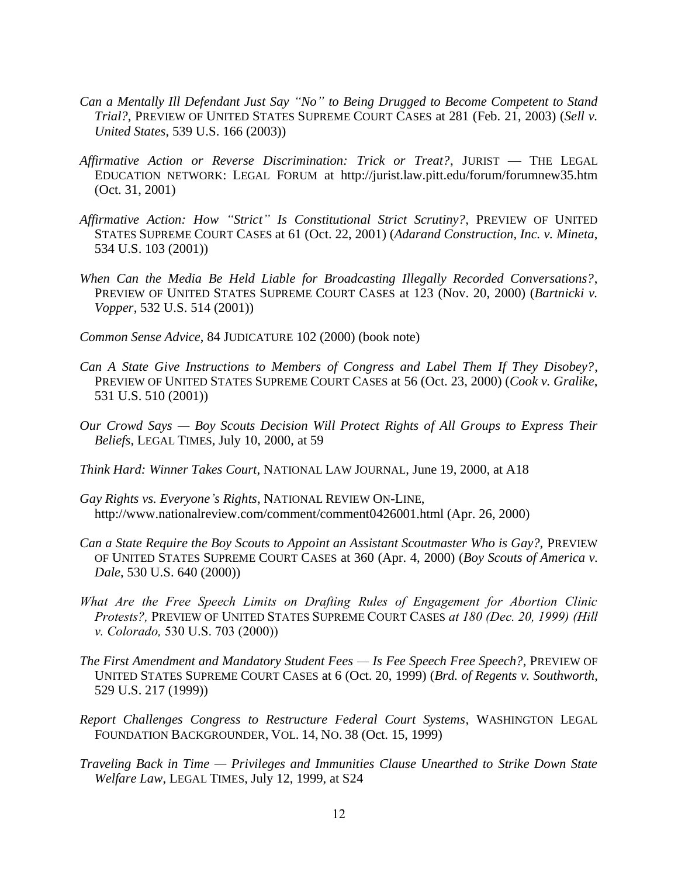- *Can a Mentally Ill Defendant Just Say "No" to Being Drugged to Become Competent to Stand Trial?*, PREVIEW OF UNITED STATES SUPREME COURT CASES at 281 (Feb. 21, 2003) (*Sell v. United States*, 539 U.S. 166 (2003))
- *Affirmative Action or Reverse Discrimination: Trick or Treat?*, JURIST THE LEGAL EDUCATION NETWORK: LEGAL FORUM at http://jurist.law.pitt.edu/forum/forumnew35.htm (Oct. 31, 2001)
- *Affirmative Action: How "Strict" Is Constitutional Strict Scrutiny?*, PREVIEW OF UNITED STATES SUPREME COURT CASES at 61 (Oct. 22, 2001) (*Adarand Construction, Inc. v. Mineta*, 534 U.S. 103 (2001))
- *When Can the Media Be Held Liable for Broadcasting Illegally Recorded Conversations?*, PREVIEW OF UNITED STATES SUPREME COURT CASES at 123 (Nov. 20, 2000) (*Bartnicki v. Vopper*, 532 U.S. 514 (2001))

*Common Sense Advice*, 84 JUDICATURE 102 (2000) (book note)

- *Can A State Give Instructions to Members of Congress and Label Them If They Disobey?*, PREVIEW OF UNITED STATES SUPREME COURT CASES at 56 (Oct. 23, 2000) (*Cook v. Gralike*, 531 U.S. 510 (2001))
- *Our Crowd Says — Boy Scouts Decision Will Protect Rights of All Groups to Express Their Beliefs*, LEGAL TIMES, July 10, 2000, at 59
- *Think Hard: Winner Takes Court*, NATIONAL LAW JOURNAL, June 19, 2000, at A18
- *Gay Rights vs. Everyone's Rights*, NATIONAL REVIEW ON-LINE, [http://www.nationalreview.com/comment/comment0](http://www.nationalreview.com/comment/comment)426001.html (Apr. 26, 2000)
- *Can a State Require the Boy Scouts to Appoint an Assistant Scoutmaster Who is Gay?, PREVIEW* OF UNITED STATES SUPREME COURT CASES at 360 (Apr. 4, 2000) (*Boy Scouts of America v. Dale*, 530 U.S. 640 (2000))
- *What Are the Free Speech Limits on Drafting Rules of Engagement for Abortion Clinic Protests?,* PREVIEW OF UNITED STATES SUPREME COURT CASES *at 180 (Dec. 20, 1999) (Hill v. Colorado,* 530 U.S. 703 (2000))
- *The First Amendment and Mandatory Student Fees — Is Fee Speech Free Speech?*, PREVIEW OF UNITED STATES SUPREME COURT CASES at 6 (Oct. 20, 1999) (*Brd. of Regents v. Southworth*, 529 U.S. 217 (1999))
- *Report Challenges Congress to Restructure Federal Court Systems*, WASHINGTON LEGAL FOUNDATION BACKGROUNDER, VOL. 14, NO. 38 (Oct. 15, 1999)
- *Traveling Back in Time — Privileges and Immunities Clause Unearthed to Strike Down State Welfare Law*, LEGAL TIMES, July 12, 1999, at S24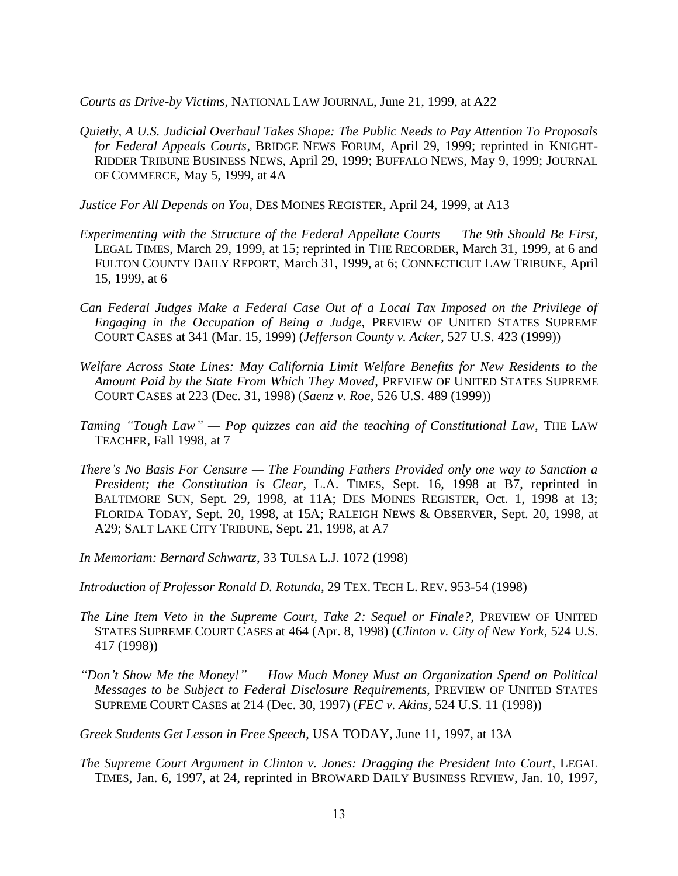*Courts as Drive-by Victims*, NATIONAL LAW JOURNAL, June 21, 1999, at A22

- *Quietly, A U.S. Judicial Overhaul Takes Shape: The Public Needs to Pay Attention To Proposals for Federal Appeals Courts*, BRIDGE NEWS FORUM, April 29, 1999; reprinted in KNIGHT-RIDDER TRIBUNE BUSINESS NEWS, April 29, 1999; BUFFALO NEWS, May 9, 1999; JOURNAL OF COMMERCE, May 5, 1999, at 4A
- *Justice For All Depends on You*, DES MOINES REGISTER, April 24, 1999, at A13
- *Experimenting with the Structure of the Federal Appellate Courts — The 9th Should Be First*, LEGAL TIMES, March 29, 1999, at 15; reprinted in THE RECORDER, March 31, 1999, at 6 and FULTON COUNTY DAILY REPORT, March 31, 1999, at 6; CONNECTICUT LAW TRIBUNE, April 15, 1999, at 6
- *Can Federal Judges Make a Federal Case Out of a Local Tax Imposed on the Privilege of Engaging in the Occupation of Being a Judge*, PREVIEW OF UNITED STATES SUPREME COURT CASES at 341 (Mar. 15, 1999) (*Jefferson County v. Acker*, 527 U.S. 423 (1999))
- *Welfare Across State Lines: May California Limit Welfare Benefits for New Residents to the Amount Paid by the State From Which They Moved*, PREVIEW OF UNITED STATES SUPREME COURT CASES at 223 (Dec. 31, 1998) (*Saenz v. Roe*, 526 U.S. 489 (1999))
- *Taming "Tough Law" — Pop quizzes can aid the teaching of Constitutional Law*, THE LAW TEACHER, Fall 1998, at 7
- *There's No Basis For Censure — The Founding Fathers Provided only one way to Sanction a President; the Constitution is Clear*, L.A. TIMES, Sept. 16, 1998 at B7, reprinted in BALTIMORE SUN, Sept. 29, 1998, at 11A; DES MOINES REGISTER, Oct. 1, 1998 at 13; FLORIDA TODAY, Sept. 20, 1998, at 15A; RALEIGH NEWS & OBSERVER, Sept. 20, 1998, at A29; SALT LAKE CITY TRIBUNE, Sept. 21, 1998, at A7
- *In Memoriam: Bernard Schwartz*, 33 TULSA L.J. 1072 (1998)
- *Introduction of Professor Ronald D. Rotunda*, 29 TEX. TECH L. REV. 953-54 (1998)
- *The Line Item Veto in the Supreme Court, Take 2: Sequel or Finale?,* PREVIEW OF UNITED STATES SUPREME COURT CASES at 464 (Apr. 8, 1998) (*Clinton v. City of New York*, 524 U.S. 417 (1998))
- *"Don't Show Me the Money!" — How Much Money Must an Organization Spend on Political Messages to be Subject to Federal Disclosure Requirements,* PREVIEW OF UNITED STATES SUPREME COURT CASES at 214 (Dec. 30, 1997) (*FEC v. Akins*, 524 U.S. 11 (1998))
- *Greek Students Get Lesson in Free Speech*, USA TODAY, June 11, 1997, at 13A
- *The Supreme Court Argument in Clinton v. Jones: Dragging the President Into Court*, LEGAL TIMES, Jan. 6, 1997, at 24, reprinted in BROWARD DAILY BUSINESS REVIEW, Jan. 10, 1997,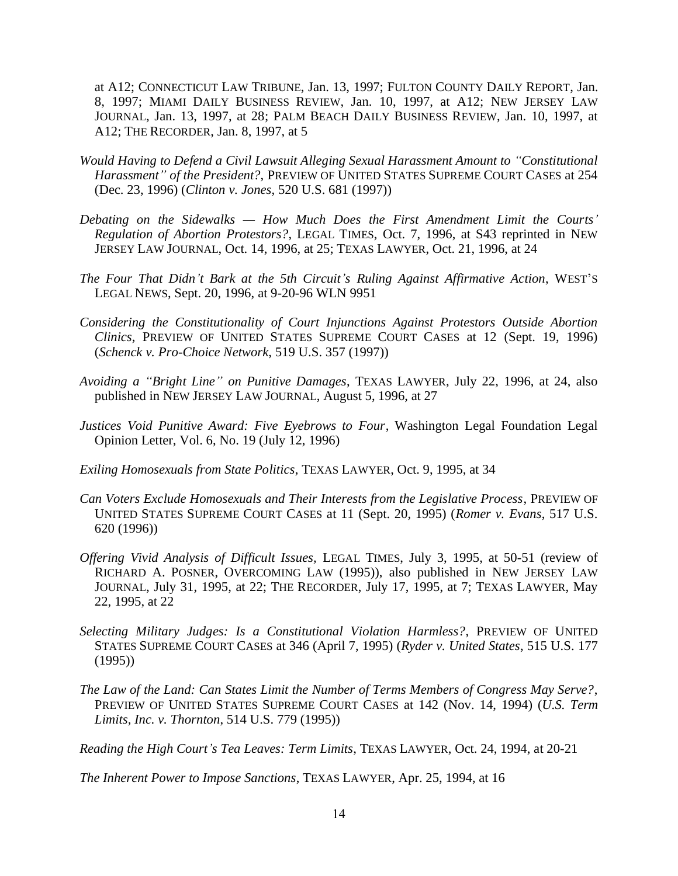at A12; CONNECTICUT LAW TRIBUNE, Jan. 13, 1997; FULTON COUNTY DAILY REPORT, Jan. 8, 1997; MIAMI DAILY BUSINESS REVIEW, Jan. 10, 1997, at A12; NEW JERSEY LAW JOURNAL, Jan. 13, 1997, at 28; PALM BEACH DAILY BUSINESS REVIEW, Jan. 10, 1997, at A12; THE RECORDER, Jan. 8, 1997, at 5

- *Would Having to Defend a Civil Lawsuit Alleging Sexual Harassment Amount to "Constitutional Harassment" of the President?*, PREVIEW OF UNITED STATES SUPREME COURT CASES at 254 (Dec. 23, 1996) (*Clinton v. Jones*, 520 U.S. 681 (1997))
- *Debating on the Sidewalks — How Much Does the First Amendment Limit the Courts' Regulation of Abortion Protestors?*, LEGAL TIMES, Oct. 7, 1996, at S43 reprinted in NEW JERSEY LAW JOURNAL, Oct. 14, 1996, at 25; TEXAS LAWYER, Oct. 21, 1996, at 24
- *The Four That Didn't Bark at the 5th Circuit's Ruling Against Affirmative Action*, WEST'S LEGAL NEWS, Sept. 20, 1996, at 9-20-96 WLN 9951
- *Considering the Constitutionality of Court Injunctions Against Protestors Outside Abortion Clinics*, PREVIEW OF UNITED STATES SUPREME COURT CASES at 12 (Sept. 19, 1996) (*Schenck v. Pro-Choice Network*, 519 U.S. 357 (1997))
- *Avoiding a "Bright Line" on Punitive Damages*, TEXAS LAWYER, July 22, 1996, at 24, also published in NEW JERSEY LAW JOURNAL, August 5, 1996, at 27
- *Justices Void Punitive Award: Five Eyebrows to Four*, Washington Legal Foundation Legal Opinion Letter, Vol. 6, No. 19 (July 12, 1996)
- *Exiling Homosexuals from State Politics*, TEXAS LAWYER, Oct. 9, 1995, at 34
- *Can Voters Exclude Homosexuals and Their Interests from the Legislative Process*, PREVIEW OF UNITED STATES SUPREME COURT CASES at 11 (Sept. 20, 1995) (*Romer v. Evans*, 517 U.S. 620 (1996))
- *Offering Vivid Analysis of Difficult Issues,* LEGAL TIMES, July 3, 1995, at 50-51 (review of RICHARD A. POSNER, OVERCOMING LAW (1995)), also published in NEW JERSEY LAW JOURNAL, July 31, 1995, at 22; THE RECORDER, July 17, 1995, at 7; TEXAS LAWYER, May 22, 1995, at 22
- *Selecting Military Judges: Is a Constitutional Violation Harmless?*, PREVIEW OF UNITED STATES SUPREME COURT CASES at 346 (April 7, 1995) (*Ryder v. United States*, 515 U.S. 177 (1995))
- *The Law of the Land: Can States Limit the Number of Terms Members of Congress May Serve?*, PREVIEW OF UNITED STATES SUPREME COURT CASES at 142 (Nov. 14, 1994) (*U.S. Term Limits, Inc. v. Thornton*, 514 U.S. 779 (1995))

*Reading the High Court's Tea Leaves: Term Limits*, TEXAS LAWYER, Oct. 24, 1994, at 20-21

*The Inherent Power to Impose Sanctions*, TEXAS LAWYER, Apr. 25, 1994, at 16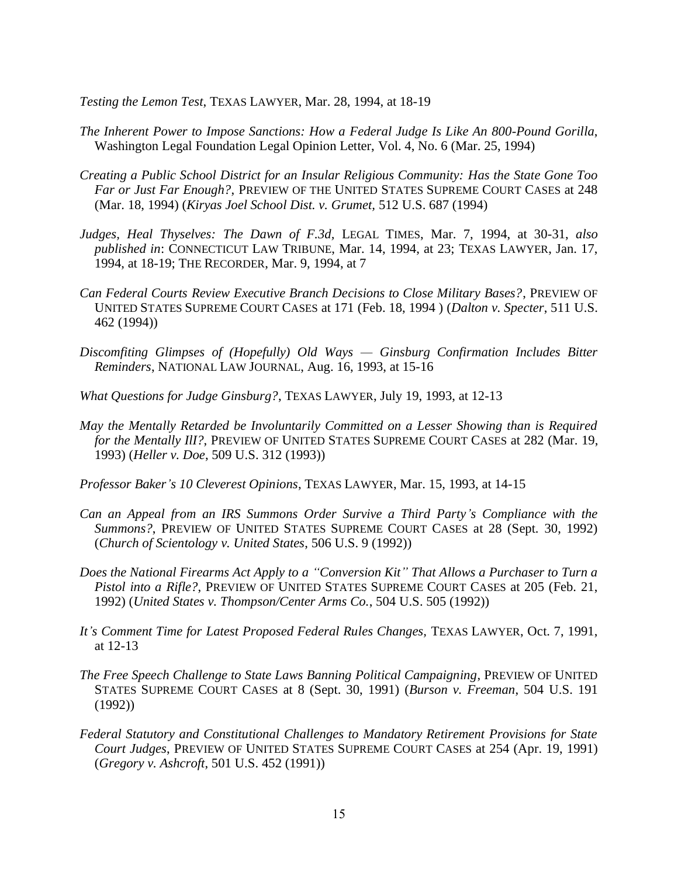*Testing the Lemon Test*, TEXAS LAWYER, Mar. 28, 1994, at 18-19

- *The Inherent Power to Impose Sanctions: How a Federal Judge Is Like An 800-Pound Gorilla*, Washington Legal Foundation Legal Opinion Letter, Vol. 4, No. 6 (Mar. 25, 1994)
- *Creating a Public School District for an Insular Religious Community: Has the State Gone Too Far or Just Far Enough?*, PREVIEW OF THE UNITED STATES SUPREME COURT CASES at 248 (Mar. 18, 1994) (*Kiryas Joel School Dist. v. Grumet,* 512 U.S. 687 (1994)
- *Judges, Heal Thyselves: The Dawn of F.3d,* LEGAL TIMES, Mar. 7, 1994, at 30-31, *also published in*: CONNECTICUT LAW TRIBUNE, Mar. 14, 1994, at 23; TEXAS LAWYER, Jan. 17, 1994, at 18-19; THE RECORDER, Mar. 9, 1994, at 7
- *Can Federal Courts Review Executive Branch Decisions to Close Military Bases?*, PREVIEW OF UNITED STATES SUPREME COURT CASES at 171 (Feb. 18, 1994 ) (*Dalton v. Specter*, 511 U.S. 462 (1994))
- *Discomfiting Glimpses of (Hopefully) Old Ways — Ginsburg Confirmation Includes Bitter Reminders*, NATIONAL LAW JOURNAL, Aug. 16, 1993, at 15-16
- *What Questions for Judge Ginsburg?*, TEXAS LAWYER, July 19, 1993, at 12-13
- *May the Mentally Retarded be Involuntarily Committed on a Lesser Showing than is Required for the Mentally III?*, PREVIEW OF UNITED STATES SUPREME COURT CASES at 282 (Mar. 19, 1993) (*Heller v. Doe*, 509 U.S. 312 (1993))
- *Professor Baker's 10 Cleverest Opinions*, TEXAS LAWYER, Mar. 15, 1993, at 14-15
- *Can an Appeal from an IRS Summons Order Survive a Third Party's Compliance with the Summons?*, PREVIEW OF UNITED STATES SUPREME COURT CASES at 28 (Sept. 30, 1992) (*Church of Scientology v. United States*, 506 U.S. 9 (1992))
- *Does the National Firearms Act Apply to a "Conversion Kit" That Allows a Purchaser to Turn a Pistol into a Rifle?*, PREVIEW OF UNITED STATES SUPREME COURT CASES at 205 (Feb. 21, 1992) (*United States v. Thompson/Center Arms Co.*, 504 U.S. 505 (1992))
- *It's Comment Time for Latest Proposed Federal Rules Changes,* TEXAS LAWYER, Oct. 7, 1991, at 12-13
- *The Free Speech Challenge to State Laws Banning Political Campaigning*, PREVIEW OF UNITED STATES SUPREME COURT CASES at 8 (Sept. 30, 1991) (*Burson v. Freeman*, 504 U.S. 191 (1992))
- *Federal Statutory and Constitutional Challenges to Mandatory Retirement Provisions for State Court Judges*, PREVIEW OF UNITED STATES SUPREME COURT CASES at 254 (Apr. 19, 1991) (*Gregory v. Ashcroft*, 501 U.S. 452 (1991))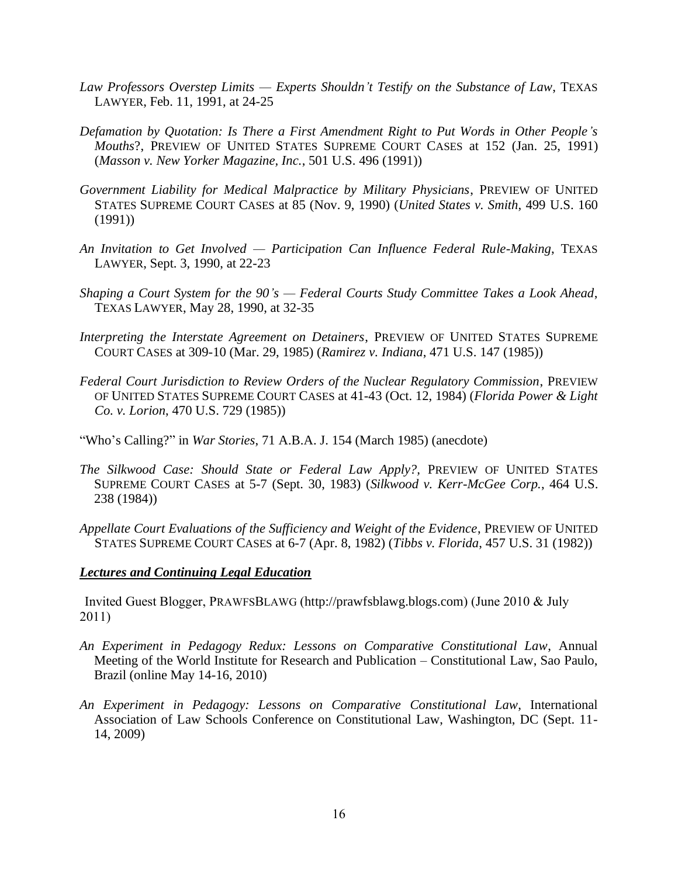- *Law Professors Overstep Limits — Experts Shouldn't Testify on the Substance of Law*, TEXAS LAWYER, Feb. 11, 1991, at 24-25
- *Defamation by Quotation: Is There a First Amendment Right to Put Words in Other People's Mouths*?, PREVIEW OF UNITED STATES SUPREME COURT CASES at 152 (Jan. 25, 1991) (*Masson v. New Yorker Magazine, Inc.*, 501 U.S. 496 (1991))
- *Government Liability for Medical Malpractice by Military Physicians*, PREVIEW OF UNITED STATES SUPREME COURT CASES at 85 (Nov. 9, 1990) (*United States v. Smith*, 499 U.S. 160 (1991))
- *An Invitation to Get Involved — Participation Can Influence Federal Rule-Making*, TEXAS LAWYER, Sept. 3, 1990, at 22-23
- *Shaping a Court System for the 90's — Federal Courts Study Committee Takes a Look Ahead*, TEXAS LAWYER, May 28, 1990, at 32-35
- *Interpreting the Interstate Agreement on Detainers*, PREVIEW OF UNITED STATES SUPREME COURT CASES at 309-10 (Mar. 29, 1985) (*Ramirez v. Indiana*, 471 U.S. 147 (1985))
- *Federal Court Jurisdiction to Review Orders of the Nuclear Regulatory Commission*, PREVIEW OF UNITED STATES SUPREME COURT CASES at 41-43 (Oct. 12, 1984) (*Florida Power & Light Co. v. Lorion*, 470 U.S. 729 (1985))
- "Who's Calling?" in *War Stories*, 71 A.B.A. J. 154 (March 1985) (anecdote)
- *The Silkwood Case: Should State or Federal Law Apply?,* PREVIEW OF UNITED STATES SUPREME COURT CASES at 5-7 (Sept. 30, 1983) (*Silkwood v. Kerr-McGee Corp.*, 464 U.S. 238 (1984))
- *Appellate Court Evaluations of the Sufficiency and Weight of the Evidence*, PREVIEW OF UNITED STATES SUPREME COURT CASES at 6-7 (Apr. 8, 1982) (*Tibbs v. Florida*, 457 U.S. 31 (1982))

#### *Lectures and Continuing Legal Education*

Invited Guest Blogger, PRAWFSBLAWG ([http://prawfsblawg.blogs.com](http://prawfsblawg.blogs.com/)) (June 2010 & July 2011)

- *An Experiment in Pedagogy Redux: Lessons on Comparative Constitutional Law*, Annual Meeting of the World Institute for Research and Publication – Constitutional Law, Sao Paulo, Brazil (online May 14-16, 2010)
- *An Experiment in Pedagogy: Lessons on Comparative Constitutional Law*, International Association of Law Schools Conference on Constitutional Law, Washington, DC (Sept. 11- 14, 2009)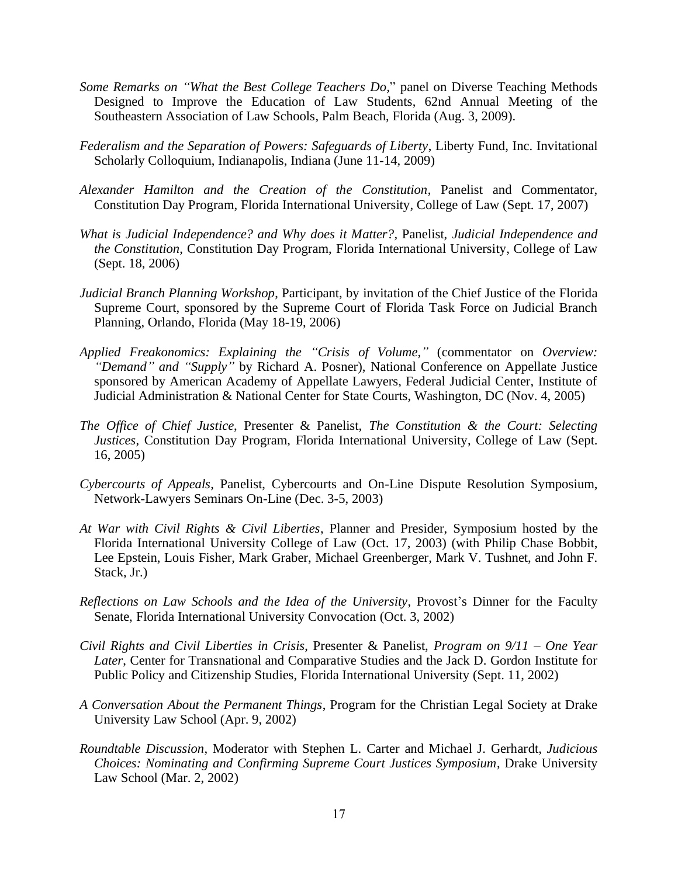- *Some Remarks on "What the Best College Teachers Do,*" panel on Diverse Teaching Methods Designed to Improve the Education of Law Students, 62nd Annual Meeting of the Southeastern Association of Law Schools, Palm Beach, Florida (Aug. 3, 2009).
- *Federalism and the Separation of Powers: Safeguards of Liberty*, Liberty Fund, Inc. Invitational Scholarly Colloquium, Indianapolis, Indiana (June 11-14, 2009)
- *Alexander Hamilton and the Creation of the Constitution*, Panelist and Commentator, Constitution Day Program, Florida International University, College of Law (Sept. 17, 2007)
- *What is Judicial Independence? and Why does it Matter?*, Panelist, *Judicial Independence and the Constitution*, Constitution Day Program, Florida International University, College of Law (Sept. 18, 2006)
- *Judicial Branch Planning Workshop*, Participant, by invitation of the Chief Justice of the Florida Supreme Court, sponsored by the Supreme Court of Florida Task Force on Judicial Branch Planning, Orlando, Florida (May 18-19, 2006)
- *Applied Freakonomics: Explaining the "Crisis of Volume,"* (commentator on *Overview: "Demand" and "Supply"* by Richard A. Posner), National Conference on Appellate Justice sponsored by American Academy of Appellate Lawyers, Federal Judicial Center, Institute of Judicial Administration & National Center for State Courts, Washington, DC (Nov. 4, 2005)
- *The Office of Chief Justice*, Presenter & Panelist, *The Constitution & the Court: Selecting Justices*, Constitution Day Program, Florida International University, College of Law (Sept. 16, 2005)
- *Cybercourts of Appeals*, Panelist, Cybercourts and On-Line Dispute Resolution Symposium, Network-Lawyers Seminars On-Line (Dec. 3-5, 2003)
- *At War with Civil Rights & Civil Liberties*, Planner and Presider, Symposium hosted by the Florida International University College of Law (Oct. 17, 2003) (with Philip Chase Bobbit, Lee Epstein, Louis Fisher, Mark Graber, Michael Greenberger, Mark V. Tushnet, and John F. Stack, Jr.)
- *Reflections on Law Schools and the Idea of the University*, Provost's Dinner for the Faculty Senate, Florida International University Convocation (Oct. 3, 2002)
- *Civil Rights and Civil Liberties in Crisis*, Presenter & Panelist, *Program on 9/11 – One Year Later*, Center for Transnational and Comparative Studies and the Jack D. Gordon Institute for Public Policy and Citizenship Studies, Florida International University (Sept. 11, 2002)
- *A Conversation About the Permanent Things*, Program for the Christian Legal Society at Drake University Law School (Apr. 9, 2002)
- *Roundtable Discussion*, Moderator with Stephen L. Carter and Michael J. Gerhardt, *Judicious Choices: Nominating and Confirming Supreme Court Justices Symposium*, Drake University Law School (Mar. 2, 2002)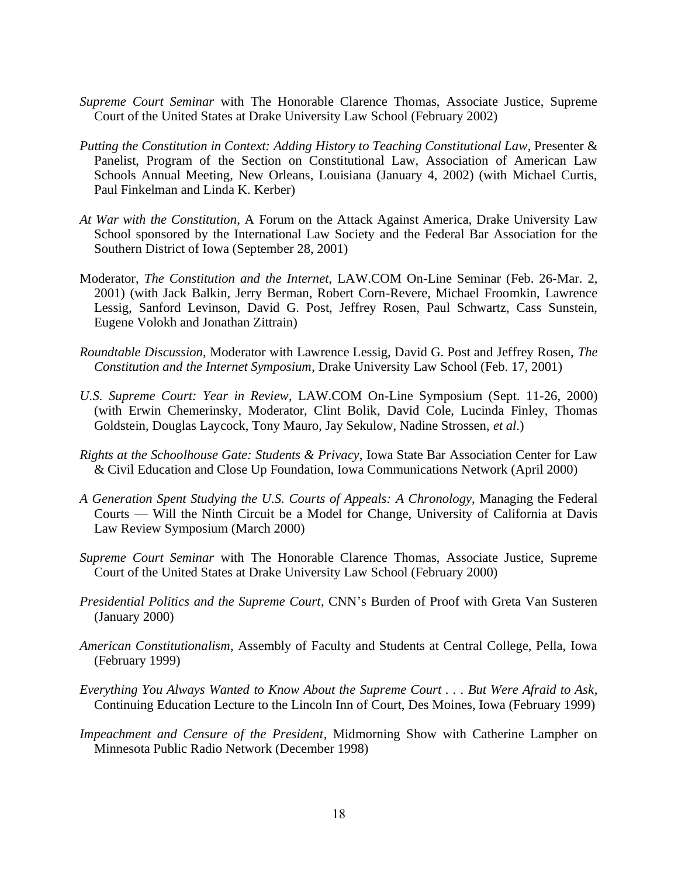- *Supreme Court Seminar* with The Honorable Clarence Thomas, Associate Justice, Supreme Court of the United States at Drake University Law School (February 2002)
- *Putting the Constitution in Context: Adding History to Teaching Constitutional Law*, Presenter & Panelist, Program of the Section on Constitutional Law, Association of American Law Schools Annual Meeting, New Orleans, Louisiana (January 4, 2002) (with Michael Curtis, Paul Finkelman and Linda K. Kerber)
- *At War with the Constitution*, A Forum on the Attack Against America, Drake University Law School sponsored by the International Law Society and the Federal Bar Association for the Southern District of Iowa (September 28, 2001)
- Moderator, *The Constitution and the Internet*, LAW.COM On-Line Seminar (Feb. 26-Mar. 2, 2001) (with Jack Balkin, Jerry Berman, Robert Corn-Revere, Michael Froomkin, Lawrence Lessig, Sanford Levinson, David G. Post, Jeffrey Rosen, Paul Schwartz, Cass Sunstein, Eugene Volokh and Jonathan Zittrain)
- *Roundtable Discussion*, Moderator with Lawrence Lessig, David G. Post and Jeffrey Rosen, *The Constitution and the Internet Symposium*, Drake University Law School (Feb. 17, 2001)
- *U.S. Supreme Court: Year in Review*, LAW.COM On-Line Symposium (Sept. 11-26, 2000) (with Erwin Chemerinsky, Moderator, Clint Bolik, David Cole, Lucinda Finley, Thomas Goldstein, Douglas Laycock, Tony Mauro, Jay Sekulow, Nadine Strossen, *et al*.)
- *Rights at the Schoolhouse Gate: Students & Privacy*, Iowa State Bar Association Center for Law & Civil Education and Close Up Foundation, Iowa Communications Network (April 2000)
- *A Generation Spent Studying the U.S. Courts of Appeals: A Chronology*, Managing the Federal Courts — Will the Ninth Circuit be a Model for Change, University of California at Davis Law Review Symposium (March 2000)
- *Supreme Court Seminar* with The Honorable Clarence Thomas, Associate Justice, Supreme Court of the United States at Drake University Law School (February 2000)
- *Presidential Politics and the Supreme Court*, CNN's Burden of Proof with Greta Van Susteren (January 2000)
- *American Constitutionalism*, Assembly of Faculty and Students at Central College, Pella, Iowa (February 1999)
- *Everything You Always Wanted to Know About the Supreme Court . . . But Were Afraid to Ask*, Continuing Education Lecture to the Lincoln Inn of Court, Des Moines, Iowa (February 1999)
- *Impeachment and Censure of the President*, Midmorning Show with Catherine Lampher on Minnesota Public Radio Network (December 1998)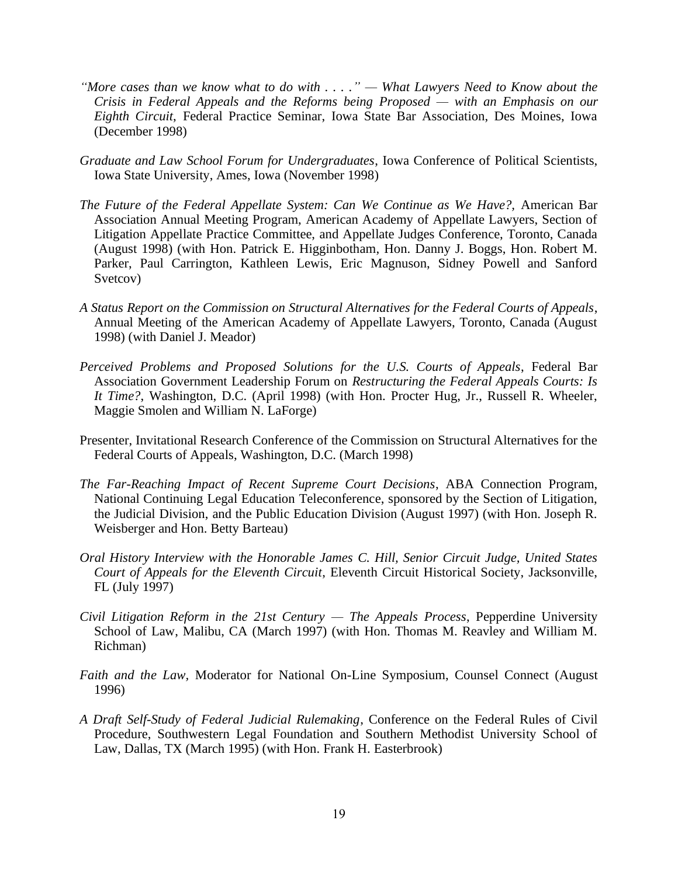- *"More cases than we know what to do with . . . ." — What Lawyers Need to Know about the Crisis in Federal Appeals and the Reforms being Proposed — with an Emphasis on our Eighth Circuit*, Federal Practice Seminar, Iowa State Bar Association, Des Moines, Iowa (December 1998)
- *Graduate and Law School Forum for Undergraduates*, Iowa Conference of Political Scientists, Iowa State University, Ames, Iowa (November 1998)
- *The Future of the Federal Appellate System: Can We Continue as We Have?,* American Bar Association Annual Meeting Program, American Academy of Appellate Lawyers, Section of Litigation Appellate Practice Committee, and Appellate Judges Conference, Toronto, Canada (August 1998) (with Hon. Patrick E. Higginbotham, Hon. Danny J. Boggs, Hon. Robert M. Parker, Paul Carrington, Kathleen Lewis, Eric Magnuson, Sidney Powell and Sanford Svetcov)
- *A Status Report on the Commission on Structural Alternatives for the Federal Courts of Appeals*, Annual Meeting of the American Academy of Appellate Lawyers, Toronto, Canada (August 1998) (with Daniel J. Meador)
- *Perceived Problems and Proposed Solutions for the U.S. Courts of Appeals*, Federal Bar Association Government Leadership Forum on *Restructuring the Federal Appeals Courts: Is It Time?*, Washington, D.C. (April 1998) (with Hon. Procter Hug, Jr., Russell R. Wheeler, Maggie Smolen and William N. LaForge)
- Presenter, Invitational Research Conference of the Commission on Structural Alternatives for the Federal Courts of Appeals, Washington, D.C. (March 1998)
- *The Far-Reaching Impact of Recent Supreme Court Decisions*, ABA Connection Program, National Continuing Legal Education Teleconference, sponsored by the Section of Litigation, the Judicial Division, and the Public Education Division (August 1997) (with Hon. Joseph R. Weisberger and Hon. Betty Barteau)
- *Oral History Interview with the Honorable James C. Hill, Senior Circuit Judge, United States Court of Appeals for the Eleventh Circuit*, Eleventh Circuit Historical Society, Jacksonville, FL (July 1997)
- *Civil Litigation Reform in the 21st Century — The Appeals Process*, Pepperdine University School of Law, Malibu, CA (March 1997) (with Hon. Thomas M. Reavley and William M. Richman)
- *Faith and the Law,* Moderator for National On-Line Symposium, Counsel Connect (August 1996)
- *A Draft Self-Study of Federal Judicial Rulemaking*, Conference on the Federal Rules of Civil Procedure, Southwestern Legal Foundation and Southern Methodist University School of Law, Dallas, TX (March 1995) (with Hon. Frank H. Easterbrook)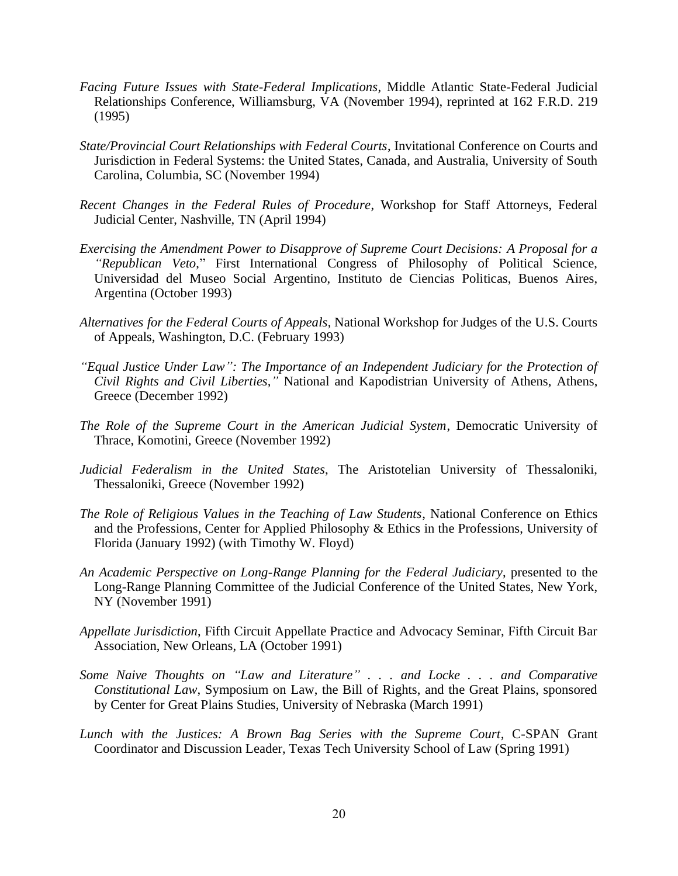- *Facing Future Issues with State-Federal Implications*, Middle Atlantic State-Federal Judicial Relationships Conference, Williamsburg, VA (November 1994), reprinted at 162 F.R.D. 219 (1995)
- *State/Provincial Court Relationships with Federal Courts*, Invitational Conference on Courts and Jurisdiction in Federal Systems: the United States, Canada, and Australia, University of South Carolina, Columbia, SC (November 1994)
- *Recent Changes in the Federal Rules of Procedure*, Workshop for Staff Attorneys, Federal Judicial Center, Nashville, TN (April 1994)
- *Exercising the Amendment Power to Disapprove of Supreme Court Decisions: A Proposal for a "Republican Veto*," First International Congress of Philosophy of Political Science, Universidad del Museo Social Argentino, Instituto de Ciencias Politicas, Buenos Aires, Argentina (October 1993)
- *Alternatives for the Federal Courts of Appeals*, National Workshop for Judges of the U.S. Courts of Appeals, Washington, D.C. (February 1993)
- *"Equal Justice Under Law": The Importance of an Independent Judiciary for the Protection of Civil Rights and Civil Liberties,"* National and Kapodistrian University of Athens, Athens, Greece (December 1992)
- *The Role of the Supreme Court in the American Judicial System*, Democratic University of Thrace, Komotini, Greece (November 1992)
- *Judicial Federalism in the United States*, The Aristotelian University of Thessaloniki, Thessaloniki, Greece (November 1992)
- *The Role of Religious Values in the Teaching of Law Students*, National Conference on Ethics and the Professions, Center for Applied Philosophy & Ethics in the Professions, University of Florida (January 1992) (with Timothy W. Floyd)
- *An Academic Perspective on Long-Range Planning for the Federal Judiciary*, presented to the Long-Range Planning Committee of the Judicial Conference of the United States, New York, NY (November 1991)
- *Appellate Jurisdiction*, Fifth Circuit Appellate Practice and Advocacy Seminar, Fifth Circuit Bar Association, New Orleans, LA (October 1991)
- *Some Naive Thoughts on "Law and Literature" . . . and Locke . . . and Comparative Constitutional Law*, Symposium on Law, the Bill of Rights, and the Great Plains, sponsored by Center for Great Plains Studies, University of Nebraska (March 1991)
- *Lunch with the Justices: A Brown Bag Series with the Supreme Court*, C-SPAN Grant Coordinator and Discussion Leader, Texas Tech University School of Law (Spring 1991)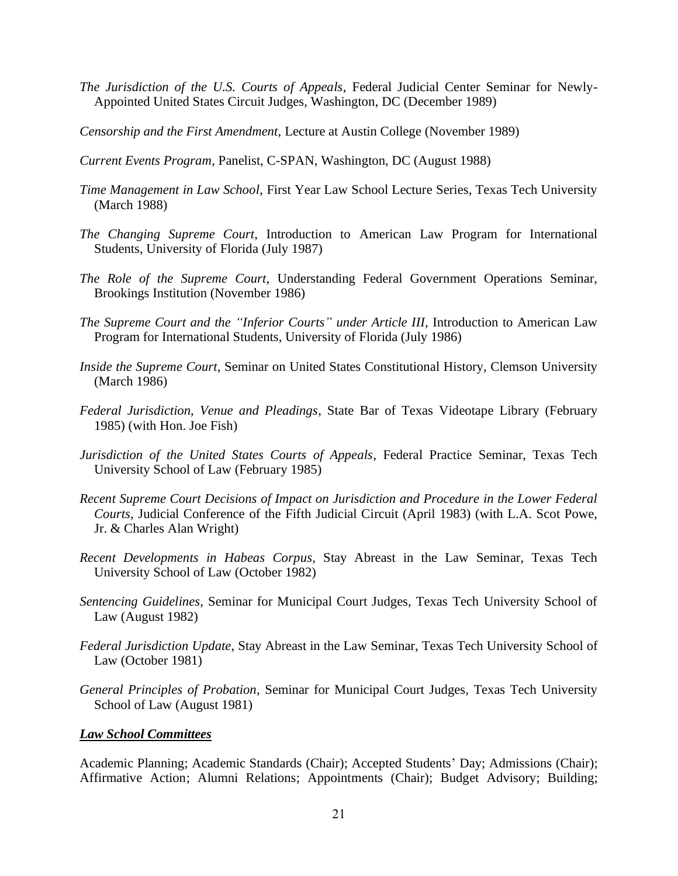- *The Jurisdiction of the U.S. Courts of Appeals*, Federal Judicial Center Seminar for Newly-Appointed United States Circuit Judges, Washington, DC (December 1989)
- *Censorship and the First Amendment*, Lecture at Austin College (November 1989)
- *Current Events Program*, Panelist, C-SPAN, Washington, DC (August 1988)
- *Time Management in Law School*, First Year Law School Lecture Series, Texas Tech University (March 1988)
- *The Changing Supreme Court*, Introduction to American Law Program for International Students, University of Florida (July 1987)
- *The Role of the Supreme Court*, Understanding Federal Government Operations Seminar, Brookings Institution (November 1986)
- *The Supreme Court and the "Inferior Courts" under Article III*, Introduction to American Law Program for International Students, University of Florida (July 1986)
- *Inside the Supreme Court*, Seminar on United States Constitutional History, Clemson University (March 1986)
- *Federal Jurisdiction, Venue and Pleadings*, State Bar of Texas Videotape Library (February 1985) (with Hon. Joe Fish)
- *Jurisdiction of the United States Courts of Appeals*, Federal Practice Seminar, Texas Tech University School of Law (February 1985)
- *Recent Supreme Court Decisions of Impact on Jurisdiction and Procedure in the Lower Federal Courts*, Judicial Conference of the Fifth Judicial Circuit (April 1983) (with L.A. Scot Powe, Jr. & Charles Alan Wright)
- *Recent Developments in Habeas Corpus*, Stay Abreast in the Law Seminar, Texas Tech University School of Law (October 1982)
- *Sentencing Guidelines*, Seminar for Municipal Court Judges, Texas Tech University School of Law (August 1982)
- *Federal Jurisdiction Update*, Stay Abreast in the Law Seminar, Texas Tech University School of Law (October 1981)
- *General Principles of Probation*, Seminar for Municipal Court Judges, Texas Tech University School of Law (August 1981)

### *Law School Committees*

Academic Planning; Academic Standards (Chair); Accepted Students' Day; Admissions (Chair); Affirmative Action; Alumni Relations; Appointments (Chair); Budget Advisory; Building;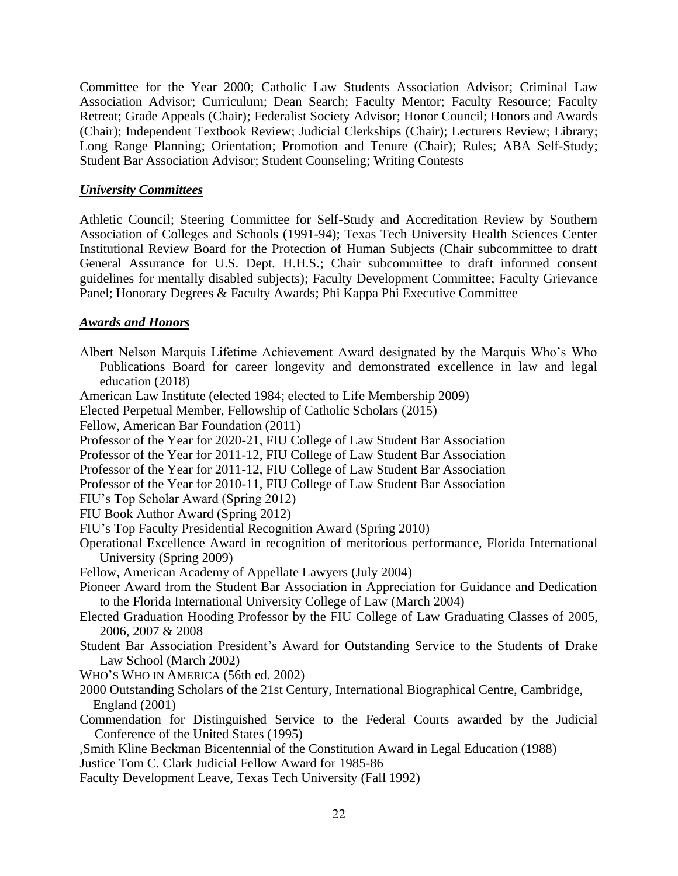Committee for the Year 2000; Catholic Law Students Association Advisor; Criminal Law Association Advisor; Curriculum; Dean Search; Faculty Mentor; Faculty Resource; Faculty Retreat; Grade Appeals (Chair); Federalist Society Advisor; Honor Council; Honors and Awards (Chair); Independent Textbook Review; Judicial Clerkships (Chair); Lecturers Review; Library; Long Range Planning; Orientation; Promotion and Tenure (Chair); Rules; ABA Self-Study; Student Bar Association Advisor; Student Counseling; Writing Contests

## *University Committees*

Athletic Council; Steering Committee for Self-Study and Accreditation Review by Southern Association of Colleges and Schools (1991-94); Texas Tech University Health Sciences Center Institutional Review Board for the Protection of Human Subjects (Chair subcommittee to draft General Assurance for U.S. Dept. H.H.S.; Chair subcommittee to draft informed consent guidelines for mentally disabled subjects); Faculty Development Committee; Faculty Grievance Panel; Honorary Degrees & Faculty Awards; Phi Kappa Phi Executive Committee

### *Awards and Honors*

Albert Nelson Marquis Lifetime Achievement Award designated by the Marquis Who's Who Publications Board for career longevity and demonstrated excellence in law and legal education (2018) American Law Institute (elected 1984; elected to Life Membership 2009) Elected Perpetual Member, Fellowship of Catholic Scholars (2015) Fellow, American Bar Foundation (2011) Professor of the Year for 2020-21, FIU College of Law Student Bar Association Professor of the Year for 2011-12, FIU College of Law Student Bar Association Professor of the Year for 2011-12, FIU College of Law Student Bar Association Professor of the Year for 2010-11, FIU College of Law Student Bar Association FIU's Top Scholar Award (Spring 2012) FIU Book Author Award (Spring 2012) FIU's Top Faculty Presidential Recognition Award (Spring 2010) Operational Excellence Award in recognition of meritorious performance, Florida International University (Spring 2009) Fellow, American Academy of Appellate Lawyers (July 2004) Pioneer Award from the Student Bar Association in Appreciation for Guidance and Dedication to the Florida International University College of Law (March 2004) Elected Graduation Hooding Professor by the FIU College of Law Graduating Classes of 2005, 2006, 2007 & 2008 Student Bar Association President's Award for Outstanding Service to the Students of Drake Law School (March 2002) WHO'S WHO IN AMERICA (56th ed. 2002) 2000 Outstanding Scholars of the 21st Century, International Biographical Centre, Cambridge, England (2001) Commendation for Distinguished Service to the Federal Courts awarded by the Judicial Conference of the United States (1995) ,Smith Kline Beckman Bicentennial of the Constitution Award in Legal Education (1988) Justice Tom C. Clark Judicial Fellow Award for 1985-86 Faculty Development Leave, Texas Tech University (Fall 1992)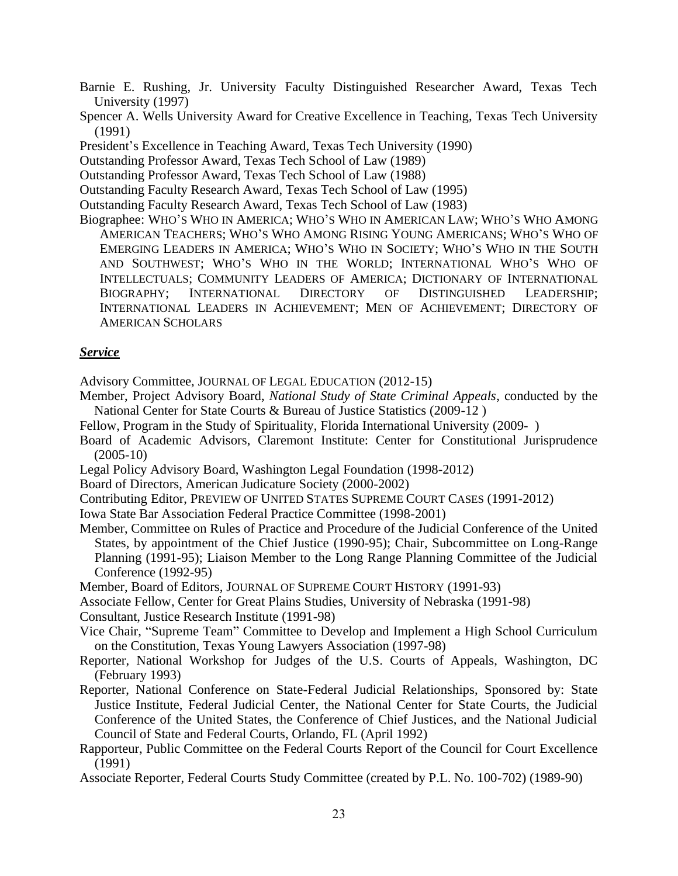Barnie E. Rushing, Jr. University Faculty Distinguished Researcher Award, Texas Tech University (1997)

Spencer A. Wells University Award for Creative Excellence in Teaching, Texas Tech University (1991)

President's Excellence in Teaching Award, Texas Tech University (1990)

Outstanding Professor Award, Texas Tech School of Law (1989)

Outstanding Professor Award, Texas Tech School of Law (1988)

Outstanding Faculty Research Award, Texas Tech School of Law (1995)

Outstanding Faculty Research Award, Texas Tech School of Law (1983)

Biographee: WHO'S WHO IN AMERICA; WHO'S WHO IN AMERICAN LAW; WHO'S WHO AMONG AMERICAN TEACHERS; WHO'S WHO AMONG RISING YOUNG AMERICANS; WHO'S WHO OF EMERGING LEADERS IN AMERICA; WHO'S WHO IN SOCIETY; WHO'S WHO IN THE SOUTH AND SOUTHWEST; WHO'S WHO IN THE WORLD; INTERNATIONAL WHO'S WHO OF INTELLECTUALS; COMMUNITY LEADERS OF AMERICA; DICTIONARY OF INTERNATIONAL BIOGRAPHY; INTERNATIONAL DIRECTORY OF DISTINGUISHED LEADERSHIP; INTERNATIONAL LEADERS IN ACHIEVEMENT; MEN OF ACHIEVEMENT; DIRECTORY OF AMERICAN SCHOLARS

#### *Service*

Advisory Committee, JOURNAL OF LEGAL EDUCATION (2012-15)

- Member, Project Advisory Board, *National Study of State Criminal Appeals*, conducted by the National Center for State Courts & Bureau of Justice Statistics (2009-12 )
- Fellow, Program in the Study of Spirituality, Florida International University (2009-)
- Board of Academic Advisors, Claremont Institute: Center for Constitutional Jurisprudence (2005-10)
- Legal Policy Advisory Board, Washington Legal Foundation (1998-2012)

Board of Directors, American Judicature Society (2000-2002)

Contributing Editor, PREVIEW OF UNITED STATES SUPREME COURT CASES (1991-2012)

Iowa State Bar Association Federal Practice Committee (1998-2001)

Member, Committee on Rules of Practice and Procedure of the Judicial Conference of the United States, by appointment of the Chief Justice (1990-95); Chair, Subcommittee on Long-Range Planning (1991-95); Liaison Member to the Long Range Planning Committee of the Judicial Conference (1992-95)

Member, Board of Editors, JOURNAL OF SUPREME COURT HISTORY (1991-93)

Associate Fellow, Center for Great Plains Studies, University of Nebraska (1991-98)

Consultant, Justice Research Institute (1991-98)

Vice Chair, "Supreme Team" Committee to Develop and Implement a High School Curriculum on the Constitution, Texas Young Lawyers Association (1997-98)

Reporter, National Workshop for Judges of the U.S. Courts of Appeals, Washington, DC (February 1993)

Reporter, National Conference on State-Federal Judicial Relationships, Sponsored by: State Justice Institute, Federal Judicial Center, the National Center for State Courts, the Judicial Conference of the United States, the Conference of Chief Justices, and the National Judicial Council of State and Federal Courts, Orlando, FL (April 1992)

Rapporteur, Public Committee on the Federal Courts Report of the Council for Court Excellence (1991)

Associate Reporter, Federal Courts Study Committee (created by P.L. No. 100-702) (1989-90)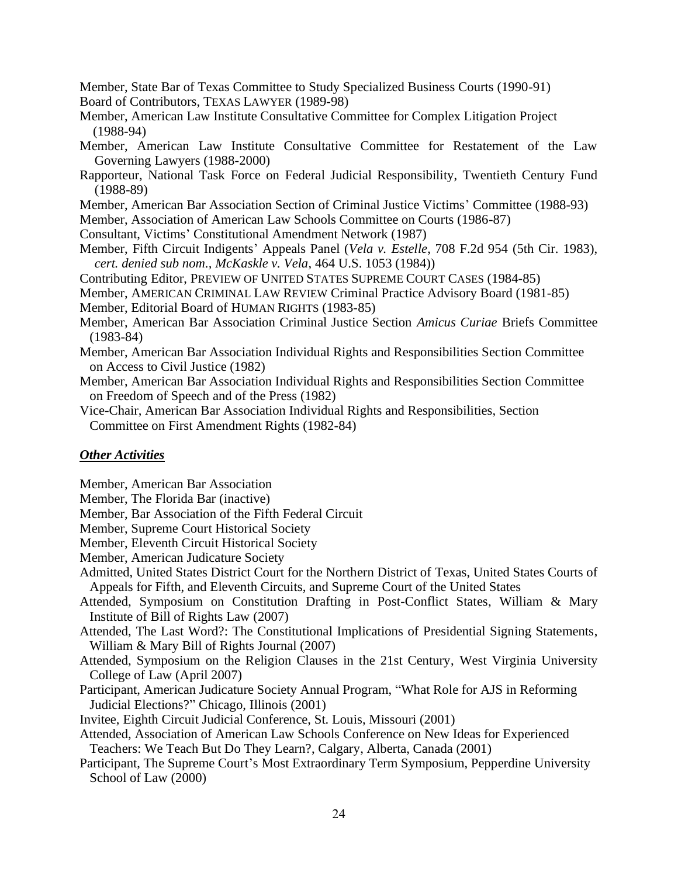Member, State Bar of Texas Committee to Study Specialized Business Courts (1990-91) Board of Contributors, TEXAS LAWYER (1989-98)

- Member, American Law Institute Consultative Committee for Complex Litigation Project (1988-94)
- Member, American Law Institute Consultative Committee for Restatement of the Law Governing Lawyers (1988-2000)
- Rapporteur, National Task Force on Federal Judicial Responsibility, Twentieth Century Fund (1988-89)
- Member, American Bar Association Section of Criminal Justice Victims' Committee (1988-93)
- Member, Association of American Law Schools Committee on Courts (1986-87)
- Consultant, Victims' Constitutional Amendment Network (1987)
- Member, Fifth Circuit Indigents' Appeals Panel (*Vela v. Estelle*, 708 F.2d 954 (5th Cir. 1983), *cert. denied sub nom., McKaskle v. Vela*, 464 U.S. 1053 (1984))
- Contributing Editor, PREVIEW OF UNITED STATES SUPREME COURT CASES (1984-85)
- Member, AMERICAN CRIMINAL LAW REVIEW Criminal Practice Advisory Board (1981-85)
- Member, Editorial Board of HUMAN RIGHTS (1983-85)
- Member, American Bar Association Criminal Justice Section *Amicus Curiae* Briefs Committee (1983-84)
- Member, American Bar Association Individual Rights and Responsibilities Section Committee on Access to Civil Justice (1982)
- Member, American Bar Association Individual Rights and Responsibilities Section Committee on Freedom of Speech and of the Press (1982)
- Vice-Chair, American Bar Association Individual Rights and Responsibilities, Section Committee on First Amendment Rights (1982-84)

# *Other Activities*

- Member, American Bar Association
- Member, The Florida Bar (inactive)
- Member, Bar Association of the Fifth Federal Circuit
- Member, Supreme Court Historical Society
- Member, Eleventh Circuit Historical Society
- Member, American Judicature Society
- Admitted, United States District Court for the Northern District of Texas, United States Courts of Appeals for Fifth, and Eleventh Circuits, and Supreme Court of the United States
- Attended, Symposium on Constitution Drafting in Post-Conflict States, William & Mary Institute of Bill of Rights Law (2007)
- Attended, The Last Word?: The Constitutional Implications of Presidential Signing Statements, William & Mary Bill of Rights Journal (2007)
- Attended, Symposium on the Religion Clauses in the 21st Century, West Virginia University College of Law (April 2007)
- Participant, American Judicature Society Annual Program, "What Role for AJS in Reforming Judicial Elections?" Chicago, Illinois (2001)
- Invitee, Eighth Circuit Judicial Conference, St. Louis, Missouri (2001)
- Attended, Association of American Law Schools Conference on New Ideas for Experienced Teachers: We Teach But Do They Learn?, Calgary, Alberta, Canada (2001)
- Participant, The Supreme Court's Most Extraordinary Term Symposium, Pepperdine University School of Law (2000)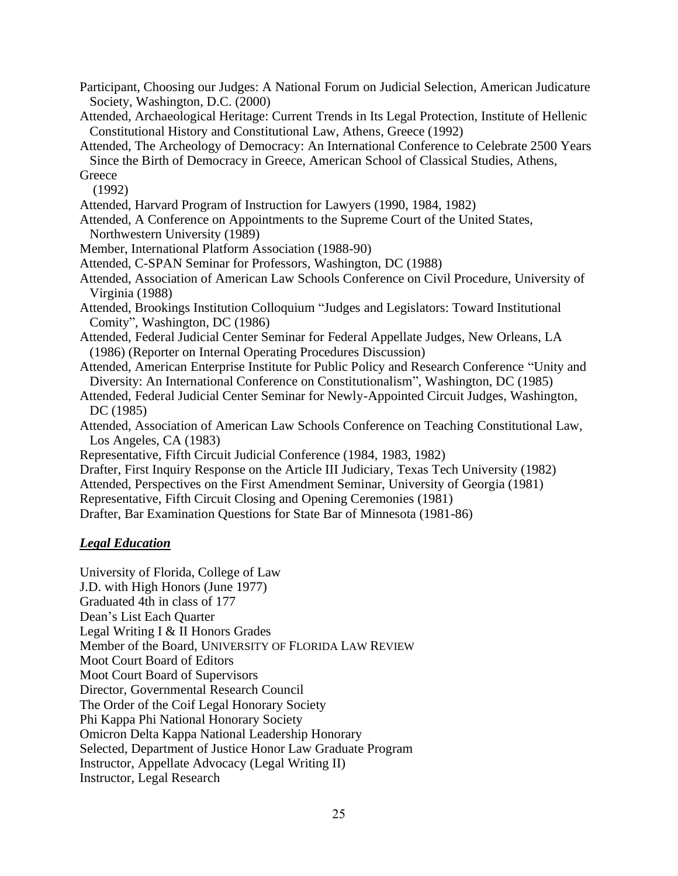Participant, Choosing our Judges: A National Forum on Judicial Selection, American Judicature Society, Washington, D.C. (2000)

Attended, Archaeological Heritage: Current Trends in Its Legal Protection, Institute of Hellenic Constitutional History and Constitutional Law, Athens, Greece (1992)

Attended, The Archeology of Democracy: An International Conference to Celebrate 2500 Years Since the Birth of Democracy in Greece, American School of Classical Studies, Athens,

**Greece** (1992)

Attended, Harvard Program of Instruction for Lawyers (1990, 1984, 1982)

Attended, A Conference on Appointments to the Supreme Court of the United States, Northwestern University (1989)

Member, International Platform Association (1988-90)

Attended, C-SPAN Seminar for Professors, Washington, DC (1988)

Attended, Association of American Law Schools Conference on Civil Procedure, University of Virginia (1988)

Attended, Brookings Institution Colloquium "Judges and Legislators: Toward Institutional Comity", Washington, DC (1986)

Attended, Federal Judicial Center Seminar for Federal Appellate Judges, New Orleans, LA (1986) (Reporter on Internal Operating Procedures Discussion)

Attended, American Enterprise Institute for Public Policy and Research Conference "Unity and Diversity: An International Conference on Constitutionalism", Washington, DC (1985)

Attended, Federal Judicial Center Seminar for Newly-Appointed Circuit Judges, Washington, DC (1985)

Attended, Association of American Law Schools Conference on Teaching Constitutional Law, Los Angeles, CA (1983)

Representative, Fifth Circuit Judicial Conference (1984, 1983, 1982)

Drafter, First Inquiry Response on the Article III Judiciary, Texas Tech University (1982)

Attended, Perspectives on the First Amendment Seminar, University of Georgia (1981)

Representative, Fifth Circuit Closing and Opening Ceremonies (1981)

Drafter, Bar Examination Questions for State Bar of Minnesota (1981-86)

# *Legal Education*

University of Florida, College of Law J.D. with High Honors (June 1977) Graduated 4th in class of 177 Dean's List Each Quarter Legal Writing I & II Honors Grades Member of the Board, UNIVERSITY OF FLORIDA LAW REVIEW Moot Court Board of Editors Moot Court Board of Supervisors Director, Governmental Research Council The Order of the Coif Legal Honorary Society Phi Kappa Phi National Honorary Society Omicron Delta Kappa National Leadership Honorary Selected, Department of Justice Honor Law Graduate Program Instructor, Appellate Advocacy (Legal Writing II) Instructor, Legal Research